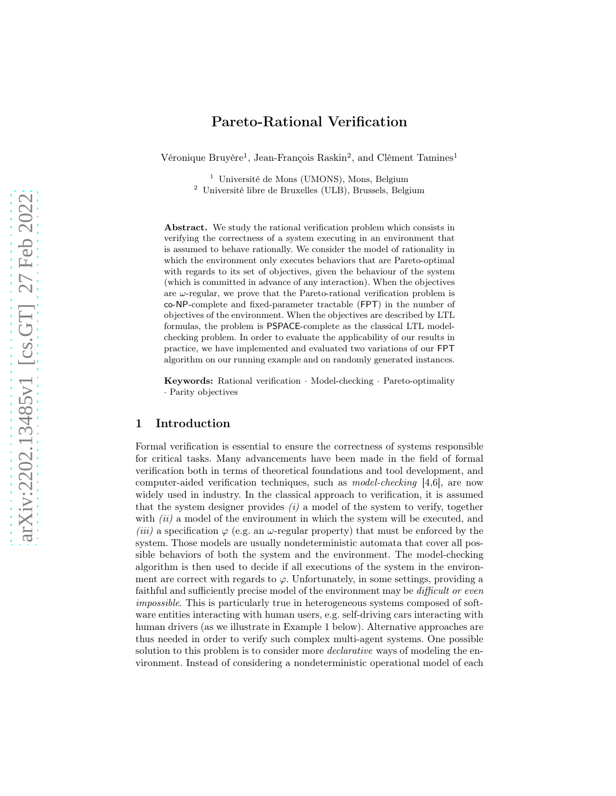# Pareto-Rational Verification

Véronique Bruyère<sup>1</sup>, Jean-François Raskin<sup>2</sup>, and Clément Tamines<sup>1</sup>

<sup>1</sup> Université de Mons (UMONS), Mons, Belgium

<sup>2</sup> Université libre de Bruxelles (ULB), Brussels, Belgium

Abstract. We study the rational verification problem which consists in verifying the correctness of a system executing in an environment that is assumed to behave rationally. We consider the model of rationality in which the environment only executes behaviors that are Pareto-optimal with regards to its set of objectives, given the behaviour of the system (which is committed in advance of any interaction). When the objectives are  $\omega$ -regular, we prove that the Pareto-rational verification problem is co-NP-complete and fixed-parameter tractable (FPT) in the number of objectives of the environment. When the objectives are described by LTL formulas, the problem is PSPACE-complete as the classical LTL modelchecking problem. In order to evaluate the applicability of our results in practice, we have implemented and evaluated two variations of our FPT algorithm on our running example and on randomly generated instances.

Keywords: Rational verification · Model-checking · Pareto-optimality · Parity objectives

### 1 Introduction

Formal verification is essential to ensure the correctness of systems responsible for critical tasks. Many advancements have been made in the field of formal verification both in terms of theoretical foundations and tool development, and computer-aided verification techniques, such as model-checking [4,6], are now widely used in industry. In the classical approach to verification, it is assumed that the system designer provides  $(i)$  a model of the system to verify, together with  $(ii)$  a model of the environment in which the system will be executed, and (iii) a specification  $\varphi$  (e.g. an  $\omega$ -regular property) that must be enforced by the system. Those models are usually nondeterministic automata that cover all possible behaviors of both the system and the environment. The model-checking algorithm is then used to decide if all executions of the system in the environment are correct with regards to  $\varphi$ . Unfortunately, in some settings, providing a faithful and sufficiently precise model of the environment may be *difficult or even* impossible. This is particularly true in heterogeneous systems composed of software entities interacting with human users, e.g. self-driving cars interacting with human drivers (as we illustrate in Example [1](#page-1-0) below). Alternative approaches are thus needed in order to verify such complex multi-agent systems. One possible solution to this problem is to consider more *declarative* ways of modeling the environment. Instead of considering a nondeterministic operational model of each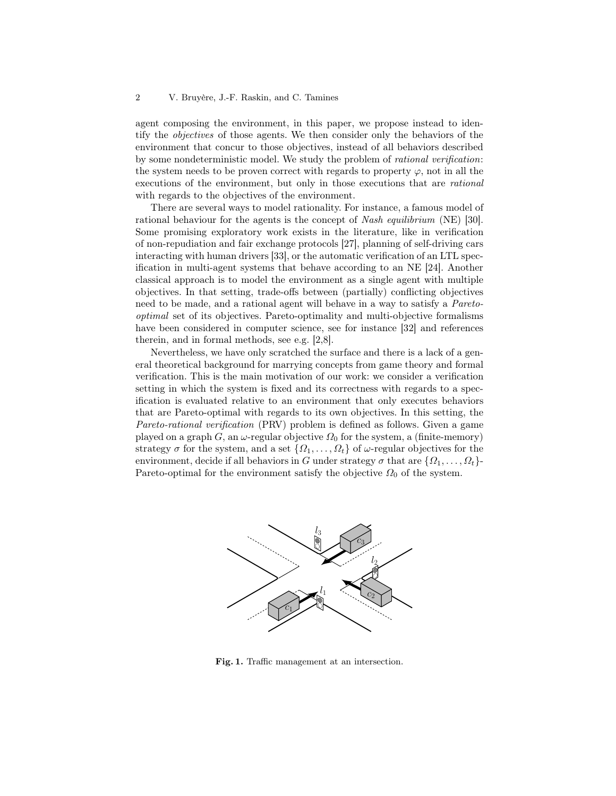agent composing the environment, in this paper, we propose instead to identify the objectives of those agents. We then consider only the behaviors of the environment that concur to those objectives, instead of all behaviors described by some nondeterministic model. We study the problem of rational verification: the system needs to be proven correct with regards to property  $\varphi$ , not in all the executions of the environment, but only in those executions that are rational with regards to the objectives of the environment.

There are several ways to model rationality. For instance, a famous model of rational behaviour for the agents is the concept of Nash equilibrium (NE) [\[30\]](#page-25-0). Some promising exploratory work exists in the literature, like in verification of non-repudiation and fair exchange protocols [27], planning of self-driving cars interacting with human drivers [33], or the automatic verification of an LTL specification in multi-agent systems that behave according to an NE [24]. Another classical approach is to model the environment as a single agent with multiple objectives. In that setting, trade-offs between (partially) conflicting objectives need to be made, and a rational agent will behave in a way to satisfy a Paretooptimal set of its objectives. Pareto-optimality and multi-objective formalisms have been considered in computer science, see for instance [32] and references therein, and in formal methods, see e.g. [2,8].

Nevertheless, we have only scratched the surface and there is a lack of a general theoretical background for marrying concepts from game theory and formal verification. This is the main motivation of our work: we consider a verification setting in which the system is fixed and its correctness with regards to a specification is evaluated relative to an environment that only executes behaviors that are Pareto-optimal with regards to its own objectives. In this setting, the Pareto-rational verification (PRV) problem is defined as follows. Given a game played on a graph G, an  $\omega$ -regular objective  $\Omega_0$  for the system, a (finite-memory) strategy  $\sigma$  for the system, and a set  $\{\Omega_1, \ldots, \Omega_t\}$  of  $\omega$ -regular objectives for the environment, decide if all behaviors in G under strategy  $\sigma$  that are  $\{\Omega_1, \ldots, \Omega_t\}$ -Pareto-optimal for the environment satisfy the objective  $\Omega_0$  of the system.

<span id="page-1-0"></span>

<span id="page-1-1"></span>Fig. 1. Traffic management at an intersection.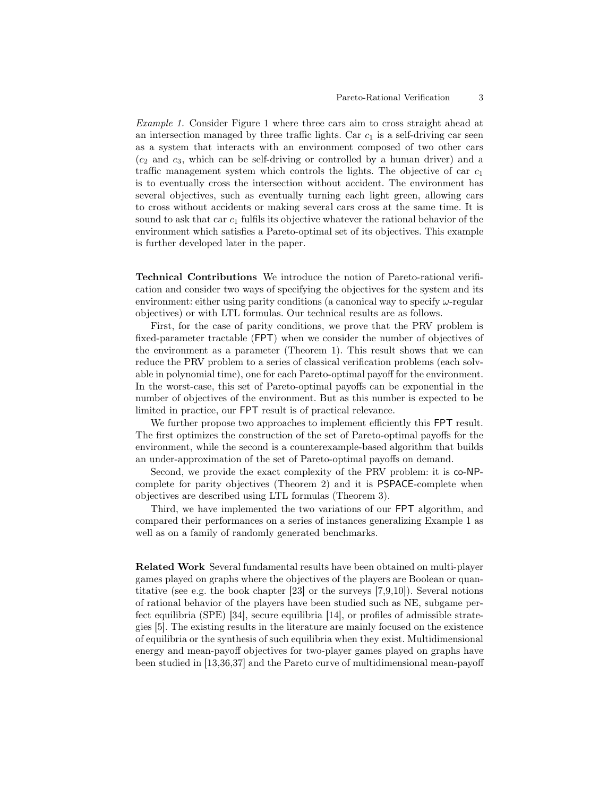Example 1. Consider Figure [1](#page-1-1) where three cars aim to cross straight ahead at an intersection managed by three traffic lights. Car  $c_1$  is a self-driving car seen as a system that interacts with an environment composed of two other cars  $(c_2$  and  $c_3$ , which can be self-driving or controlled by a human driver) and a traffic management system which controls the lights. The objective of car  $c_1$ is to eventually cross the intersection without accident. The environment has several objectives, such as eventually turning each light green, allowing cars to cross without accidents or making several cars cross at the same time. It is sound to ask that car  $c_1$  fulfils its objective whatever the rational behavior of the environment which satisfies a Pareto-optimal set of its objectives. This example is further developed later in the paper.

Technical Contributions We introduce the notion of Pareto-rational verification and consider two ways of specifying the objectives for the system and its environment: either using parity conditions (a canonical way to specify  $\omega$ -regular objectives) or with LTL formulas. Our technical results are as follows.

First, for the case of parity conditions, we prove that the PRV problem is fixed-parameter tractable (FPT) when we consider the number of objectives of the environment as a parameter (Theorem [1\)](#page-9-0). This result shows that we can reduce the PRV problem to a series of classical verification problems (each solvable in polynomial time), one for each Pareto-optimal payoff for the environment. In the worst-case, this set of Pareto-optimal payoffs can be exponential in the number of objectives of the environment. But as this number is expected to be limited in practice, our FPT result is of practical relevance.

We further propose two approaches to implement efficiently this FPT result. The first optimizes the construction of the set of Pareto-optimal payoffs for the environment, while the second is a counterexample-based algorithm that builds an under-approximation of the set of Pareto-optimal payoffs on demand.

Second, we provide the exact complexity of the PRV problem: it is co-NPcomplete for parity objectives (Theorem [2\)](#page-12-0) and it is PSPACE-complete when objectives are described using LTL formulas (Theorem [3\)](#page-17-0).

Third, we have implemented the two variations of our FPT algorithm, and compared their performances on a series of instances generalizing Example [1](#page-1-0) as well as on a family of randomly generated benchmarks.

Related Work Several fundamental results have been obtained on multi-player games played on graphs where the objectives of the players are Boolean or quantitative (see e.g. the book chapter [\[23\]](#page-25-1) or the surveys [7[,9,](#page-23-0)10]). Several notions of rational behavior of the players have been studied such as NE, subgame perfect equilibria (SPE) [\[34\]](#page-25-2), secure equilibria [14], or profiles of admissible strategies [5]. The existing results in the literature are mainly focused on the existence of equilibria or the synthesis of such equilibria when they exist. Multidimensional energy and mean-payoff objectives for two-player games played on graphs have been studied in [13,36,37] and the Pareto curve of multidimensional mean-payoff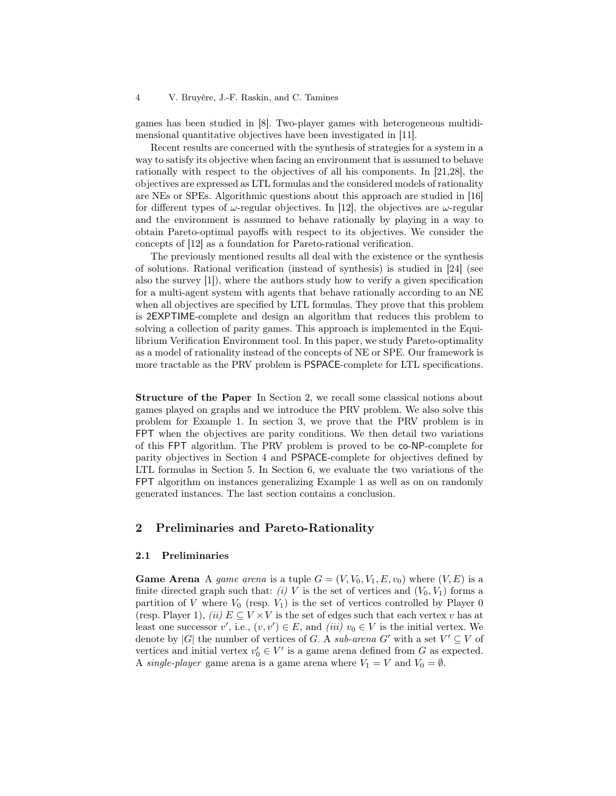games has been studied in [8]. Two-player games with heterogeneous multidimensional quantitative objectives have been investigated in [11].

Recent results are concerned with the synthesis of strategies for a system in a way to satisfy its objective when facing an environment that is assumed to behave rationally with respect to the objectives of all his components. In [\[21](#page-24-0)[,28\]](#page-25-3), the objectives are expressed as LTL formulas and the considered models of rationality are NEs or SPEs. Algorithmic questions about this approach are studied in [\[16\]](#page-24-1) for different types of  $\omega$ -regular objectives. In [12], the objectives are  $\omega$ -regular and the environment is assumed to behave rationally by playing in a way to obtain Pareto-optimal payoffs with respect to its objectives. We consider the concepts of [12] as a foundation for Pareto-rational verification.

The previously mentioned results all deal with the existence or the synthesis of solutions. Rational verification (instead of synthesis) is studied in [24] (see also the survey [1]), where the authors study how to verify a given specification for a multi-agent system with agents that behave rationally according to an NE when all objectives are specified by LTL formulas. They prove that this problem is 2EXPTIME-complete and design an algorithm that reduces this problem to solving a collection of parity games. This approach is implemented in the Equilibrium Verification Environment tool. In this paper, we study Pareto-optimality as a model of rationality instead of the concepts of NE or SPE. Our framework is more tractable as the PRV problem is PSPACE-complete for LTL specifications.

Structure of the Paper In Section [2,](#page-3-0) we recall some classical notions about games played on graphs and we introduce the PRV problem. We also solve this problem for Example [1.](#page-1-0) In section [3,](#page-9-1) we prove that the PRV problem is in FPT when the objectives are parity conditions. We then detail two variations of this FPT algorithm. The PRV problem is proved to be co-NP-complete for parity objectives in Section [4](#page-12-1) and PSPACE-complete for objectives defined by LTL formulas in Section [5.](#page-17-1) In Section [6,](#page-18-0) we evaluate the two variations of the FPT algorithm on instances generalizing Example [1](#page-1-0) as well as on on randomly generated instances. The last section contains a conclusion.

# <span id="page-3-0"></span>2 Preliminaries and Pareto-Rationality

#### 2.1 Preliminaries

**Game Arena** A *game arena* is a tuple  $G = (V, V_0, V_1, E, v_0)$  where  $(V, E)$  is a finite directed graph such that: (i) V is the set of vertices and  $(V_0, V_1)$  forms a partition of V where  $V_0$  (resp.  $V_1$ ) is the set of vertices controlled by Player 0 (resp. Player 1), *(ii)*  $E \subseteq V \times V$  is the set of edges such that each vertex v has at least one successor  $v'$ , i.e.,  $(v, v') \in E$ , and  $(iii) v_0 \in V$  is the initial vertex. We denote by |G| the number of vertices of G. A sub-arena G' with a set  $V' \subseteq V$  of vertices and initial vertex  $v'_0 \in V'$  is a game arena defined from G as expected. A single-player game arena is a game arena where  $V_1 = V$  and  $V_0 = \emptyset$ .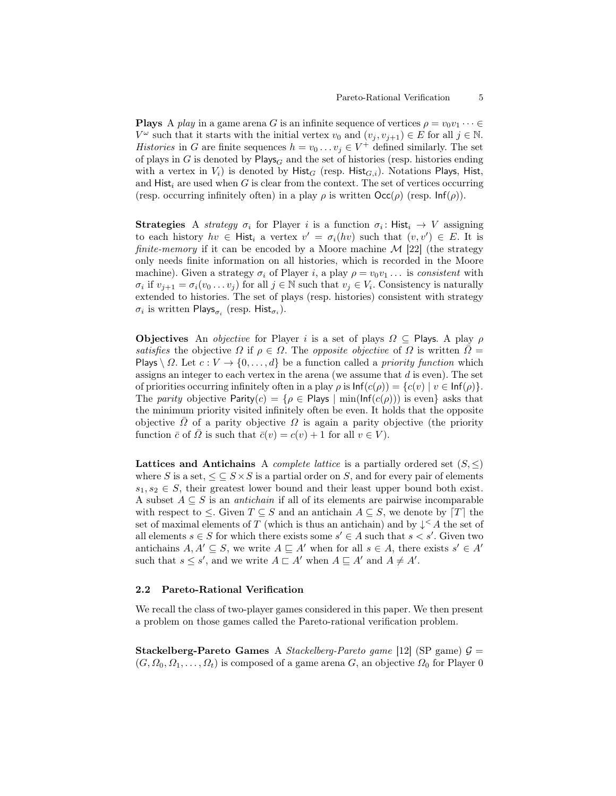**Plays** A *play* in a game arena G is an infinite sequence of vertices  $\rho = v_0v_1 \cdots \in$  $V^{\omega}$  such that it starts with the initial vertex  $v_0$  and  $(v_j, v_{j+1}) \in E$  for all  $j \in \mathbb{N}$ . *Histories* in G are finite sequences  $h = v_0 \dots v_j \in V^+$  defined similarly. The set of plays in G is denoted by  $\mathsf{Plays}_G$  and the set of histories (resp. histories ending with a vertex in  $V_i$ ) is denoted by Hist<sub>G</sub> (resp. Hist<sub>G,i</sub>). Notations Plays, Hist, and  $Hist_i$  are used when G is clear from the context. The set of vertices occurring (resp. occurring infinitely often) in a play  $\rho$  is written  $\text{Occ}(\rho)$  (resp.  $\text{Inf}(\rho)$ ).

**Strategies** A strategy  $\sigma_i$  for Player i is a function  $\sigma_i$ : Hist<sub>i</sub>  $\rightarrow$  V assigning to each history  $hv \in \mathsf{Hist}_i$  a vertex  $v' = \sigma_i(hv)$  such that  $(v, v') \in E$ . It is finite-memory if it can be encoded by a Moore machine  $\mathcal{M}$  [\[22\]](#page-24-2) (the strategy only needs finite information on all histories, which is recorded in the Moore machine). Given a strategy  $\sigma_i$  of Player i, a play  $\rho = v_0v_1 \dots$  is consistent with  $\sigma_i$  if  $v_{j+1} = \sigma_i(v_0 \dots v_j)$  for all  $j \in \mathbb{N}$  such that  $v_j \in V_i$ . Consistency is naturally extended to histories. The set of plays (resp. histories) consistent with strategy  $\sigma_i$  is written Plays $_{\sigma_i}$  (resp. Hist $_{\sigma_i}$ ).

**Objectives** An *objective* for Player i is a set of plays  $\Omega \subseteq$  Plays. A play  $\rho$ satisfies the objective  $\Omega$  if  $\rho \in \Omega$ . The *opposite objective* of  $\Omega$  is written  $\overline{\Omega} =$ Plays  $\setminus \Omega$ . Let  $c: V \to \{0, \ldots, d\}$  be a function called a priority function which assigns an integer to each vertex in the arena (we assume that  $d$  is even). The set of priorities occurring infinitely often in a play  $\rho$  is  $\text{Inf}(c(\rho)) = \{c(v) \mid v \in \text{Inf}(\rho)\}.$ The parity objective Parity $(c) = \{ \rho \in$  Plays  $| \min(\text{Inf}(c(\rho))) \text{ is even} \}$  asks that the minimum priority visited infinitely often be even. It holds that the opposite objective  $\overline{\Omega}$  of a parity objective  $\Omega$  is again a parity objective (the priority function  $\bar{c}$  of  $\Omega$  is such that  $\bar{c}(v) = c(v) + 1$  for all  $v \in V$ ).

Lattices and Antichains A *complete lattice* is a partially ordered set  $(S, \leq)$ where S is a set,  $\leq \subseteq S \times S$  is a partial order on S, and for every pair of elements  $s_1, s_2 \in S$ , their greatest lower bound and their least upper bound both exist. A subset  $A \subseteq S$  is an *antichain* if all of its elements are pairwise incomparable with respect to  $\leq$ . Given  $T \subseteq S$  and an antichain  $A \subseteq S$ , we denote by  $[T]$  the set of maximal elements of T (which is thus an antichain) and by  $\downarrow^{\leq} A$  the set of all elements  $s \in S$  for which there exists some  $s' \in A$  such that  $s < s'$ . Given two antichains  $A, A' \subseteq S$ , we write  $A \subseteq A'$  when for all  $s \in A$ , there exists  $s' \in A'$ such that  $s \leq s'$ , and we write  $A \sqsubset A'$  when  $A \sqsubseteq A'$  and  $A \neq A'$ .

### 2.2 Pareto-Rational Verification

We recall the class of two-player games considered in this paper. We then present a problem on those games called the Pareto-rational verification problem.

**Stackelberg-Pareto Games** A *Stackelberg-Pareto game* [12] (SP game)  $\mathcal{G} =$  $(G, \Omega_0, \Omega_1, \ldots, \Omega_t)$  is composed of a game arena G, an objective  $\Omega_0$  for Player 0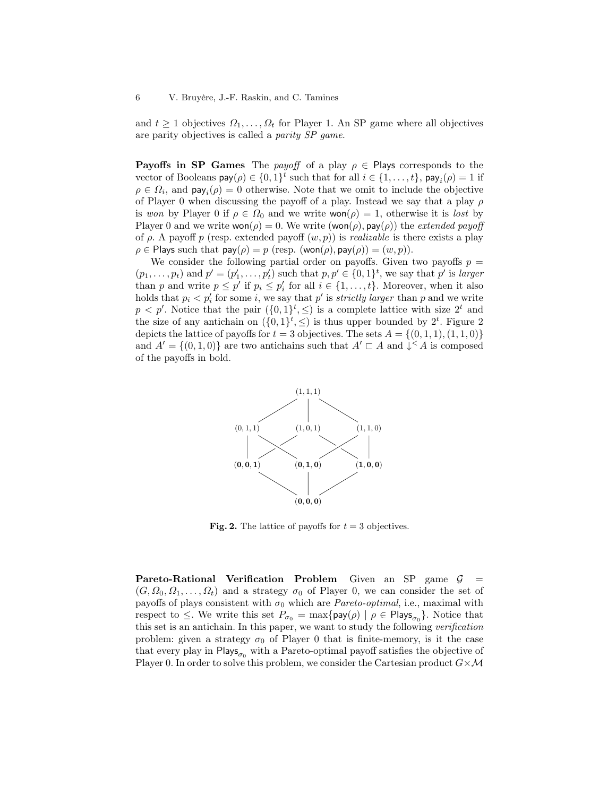and  $t \geq 1$  objectives  $\Omega_1, \ldots, \Omega_t$  for Player 1. An SP game where all objectives are parity objectives is called a parity SP game.

**Payoffs in SP Games** The *payoff* of a play  $\rho \in$  Plays corresponds to the vector of Booleans  $\mathsf{pay}(\rho) \in \{0,1\}^t$  such that for all  $i \in \{1,\ldots,t\}$ ,  $\mathsf{pay}_i(\rho) = 1$  if  $\rho \in \Omega_i$ , and  $\textsf{pay}_i(\rho) = 0$  otherwise. Note that we omit to include the objective of Player 0 when discussing the payoff of a play. Instead we say that a play  $\rho$ is won by Player 0 if  $\rho \in \Omega_0$  and we write won $(\rho) = 1$ , otherwise it is lost by Player 0 and we write  $\text{won}(\rho) = 0$ . We write  $(\text{won}(\rho), \text{pay}(\rho))$  the *extended payoff* of  $\rho$ . A payoff p (resp. extended payoff  $(w, p)$ ) is *realizable* is there exists a play  $\rho \in$  Plays such that  $\text{pay}(\rho) = p$  (resp. (won( $\rho$ ),  $\text{pay}(\rho) = (w, p)$ ).

We consider the following partial order on payoffs. Given two payoffs  $p =$  $(p_1, \ldots, p_t)$  and  $p' = (p'_1, \ldots, p'_t)$  such that  $p, p' \in \{0, 1\}^t$ , we say that  $p'$  is larger than p and write  $p \leq p'$  if  $p_i \leq p'_i$  for all  $i \in \{1, ..., t\}$ . Moreover, when it also holds that  $p_i < p'_i$  for some i, we say that p' is *strictly larger* than p and we write  $p < p'$ . Notice that the pair  $({0, 1}<sup>t</sup>, \leq)$  is a complete lattice with size  $2<sup>t</sup>$  and the size of any antichain on  $({0,1}^t,{\leq})$  is thus upper bounded by  $2^t$ . Figure [2](#page-5-0) depicts the lattice of payoffs for  $t = 3$  objectives. The sets  $A = \{(0, 1, 1), (1, 1, 0)\}\$ and  $A' = \{(0,1,0)\}\$ are two antichains such that  $A' \sqsubset A$  and  $\downarrow \leq A$  is composed of the payoffs in bold.



<span id="page-5-0"></span>Fig. 2. The lattice of payoffs for  $t = 3$  objectives.

Pareto-Rational Verification Problem Given an SP game  $G =$  $(G, \Omega_0, \Omega_1, \ldots, \Omega_t)$  and a strategy  $\sigma_0$  of Player 0, we can consider the set of payoffs of plays consistent with  $\sigma_0$  which are *Pareto-optimal*, i.e., maximal with respect to  $\leq$ . We write this set  $P_{\sigma_0} = \max\{\text{pay}(\rho) \mid \rho \in \text{Plays}_{\sigma_0}\}.$  Notice that this set is an antichain. In this paper, we want to study the following verification problem: given a strategy  $\sigma_0$  of Player 0 that is finite-memory, is it the case that every play in  $\mathsf{Plays}_{\sigma_0}$  with a Pareto-optimal payoff satisfies the objective of Player 0. In order to solve this problem, we consider the Cartesian product  $G \times \mathcal{M}$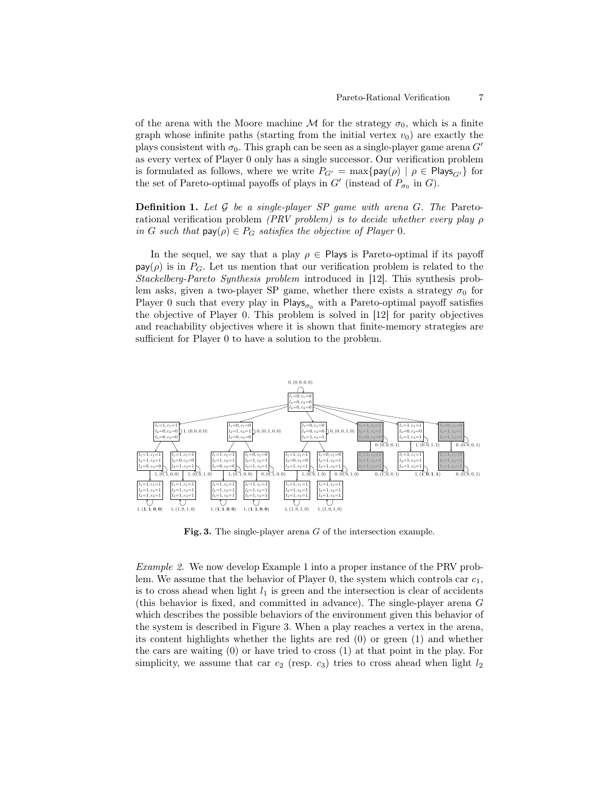of the arena with the Moore machine M for the strategy  $\sigma_0$ , which is a finite graph whose infinite paths (starting from the initial vertex  $v_0$ ) are exactly the plays consistent with  $\sigma_0$ . This graph can be seen as a single-player game arena G' as every vertex of Player 0 only has a single successor. Our verification problem is formulated as follows, where we write  $P_{G'} = \max\{pay(\rho) \mid \rho \in \text{Play}_{G'}\}\$  for the set of Pareto-optimal payoffs of plays in  $G'$  (instead of  $P_{\sigma_0}$  in  $G$ ).

<span id="page-6-1"></span>**Definition 1.** Let  $G$  be a single-player SP game with arena  $G$ . The Paretorational verification problem (PRV problem) is to decide whether every play  $\rho$ in G such that  $\text{pay}(\rho) \in P_G$  satisfies the objective of Player 0.

In the sequel, we say that a play  $\rho \in$  Plays is Pareto-optimal if its payoff  $pay(\rho)$  is in  $P_G$ . Let us mention that our verification problem is related to the Stackelberg-Pareto Synthesis problem introduced in [12]. This synthesis problem asks, given a two-player SP game, whether there exists a strategy  $\sigma_0$  for Player 0 such that every play in  $\mathsf{Plays}_{\sigma_0}$  with a Pareto-optimal payoff satisfies the objective of Player 0. This problem is solved in [12] for parity objectives and reachability objectives where it is shown that finite-memory strategies are sufficient for Player 0 to have a solution to the problem.



<span id="page-6-0"></span>Fig. 3. The single-player arena G of the intersection example.

Example 2. We now develop Example [1](#page-1-0) into a proper instance of the PRV problem. We assume that the behavior of Player 0, the system which controls car  $c_1$ , is to cross ahead when light  $l_1$  is green and the intersection is clear of accidents (this behavior is fixed, and committed in advance). The single-player arena G which describes the possible behaviors of the environment given this behavior of the system is described in Figure [3.](#page-6-0) When a play reaches a vertex in the arena, its content highlights whether the lights are red  $(0)$  or green  $(1)$  and whether the cars are waiting (0) or have tried to cross (1) at that point in the play. For simplicity, we assume that car  $c_2$  (resp.  $c_3$ ) tries to cross ahead when light  $l_2$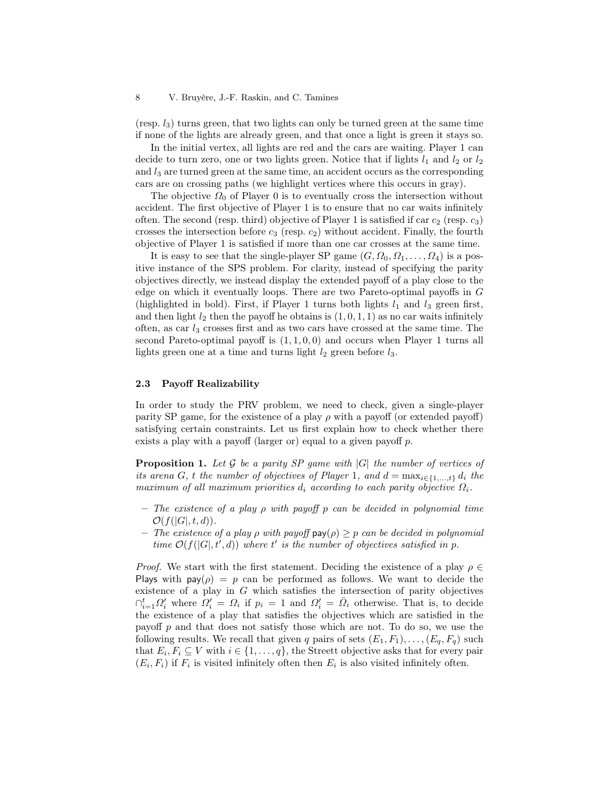8 V. Bruyère, J.-F. Raskin, and C. Tamines

(resp.  $l_3$ ) turns green, that two lights can only be turned green at the same time if none of the lights are already green, and that once a light is green it stays so.

In the initial vertex, all lights are red and the cars are waiting. Player 1 can decide to turn zero, one or two lights green. Notice that if lights  $l_1$  and  $l_2$  or  $l_2$ and  $l_3$  are turned green at the same time, an accident occurs as the corresponding cars are on crossing paths (we highlight vertices where this occurs in gray).

The objective  $\Omega_0$  of Player 0 is to eventually cross the intersection without accident. The first objective of Player 1 is to ensure that no car waits infinitely often. The second (resp. third) objective of Player 1 is satisfied if car  $c_2$  (resp.  $c_3$ ) crosses the intersection before  $c_3$  (resp.  $c_2$ ) without accident. Finally, the fourth objective of Player 1 is satisfied if more than one car crosses at the same time.

It is easy to see that the single-player SP game  $(G, \Omega_0, \Omega_1, \ldots, \Omega_4)$  is a positive instance of the SPS problem. For clarity, instead of specifying the parity objectives directly, we instead display the extended payoff of a play close to the edge on which it eventually loops. There are two Pareto-optimal payoffs in G (highlighted in bold). First, if Player 1 turns both lights  $l_1$  and  $l_3$  green first, and then light  $l_2$  then the payoff he obtains is  $(1, 0, 1, 1)$  as no car waits infinitely often, as car  $l_3$  crosses first and as two cars have crossed at the same time. The second Pareto-optimal payoff is  $(1, 1, 0, 0)$  and occurs when Player 1 turns all lights green one at a time and turns light  $l_2$  green before  $l_3$ .

### <span id="page-7-1"></span>2.3 Payoff Realizability

In order to study the PRV problem, we need to check, given a single-player parity SP game, for the existence of a play  $\rho$  with a payoff (or extended payoff) satisfying certain constraints. Let us first explain how to check whether there exists a play with a payoff (larger or) equal to a given payoff  $p$ .

<span id="page-7-0"></span>**Proposition 1.** Let G be a parity SP game with  $|G|$  the number of vertices of its arena G, t the number of objectives of Player 1, and  $d = \max_{i \in \{1,\ldots,t\}} d_i$  the maximum of all maximum priorities  $d_i$  according to each parity objective  $\Omega_i$ .

- $-$  The existence of a play  $\rho$  with payoff p can be decided in polynomial time  $\mathcal{O}(f(|G|, t, d)).$
- The existence of a play  $\rho$  with payoff  $pay(\rho) > p$  can be decided in polynomial time  $\mathcal{O}(f(|G|, t', d))$  where t' is the number of objectives satisfied in p.

*Proof.* We start with the first statement. Deciding the existence of a play  $\rho \in$ Plays with  $\text{pay}(\rho) = p$  can be performed as follows. We want to decide the existence of a play in  $G$  which satisfies the intersection of parity objectives  $\bigcap_{i=1}^t \Omega'_i$  where  $\Omega'_i = \Omega_i$  if  $p_i = 1$  and  $\Omega'_i = \overline{\Omega}_i$  otherwise. That is, to decide the existence of a play that satisfies the objectives which are satisfied in the payoff  $p$  and that does not satisfy those which are not. To do so, we use the following results. We recall that given q pairs of sets  $(E_1, F_1), \ldots, (E_q, F_q)$  such that  $E_i, F_i \subseteq V$  with  $i \in \{1, ..., q\}$ , the Streett objective asks that for every pair  $(E_i, F_i)$  if  $F_i$  is visited infinitely often then  $E_i$  is also visited infinitely often.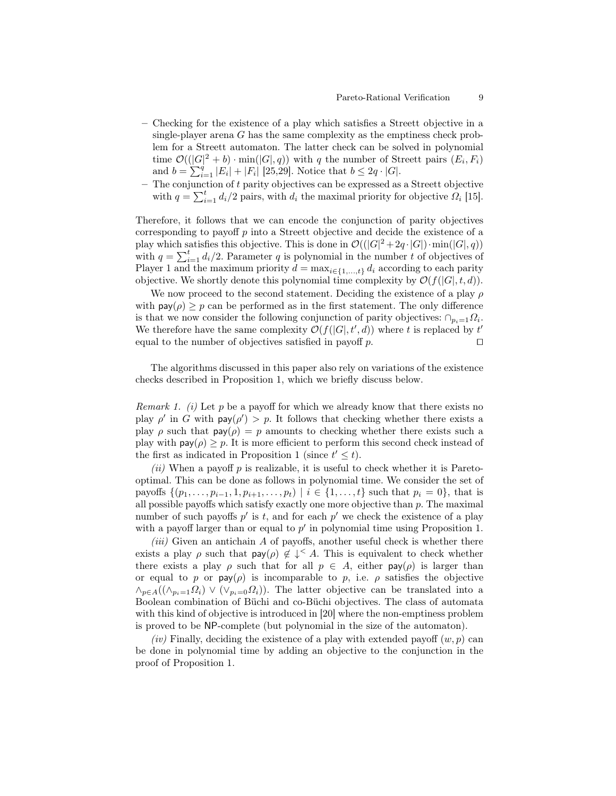- Checking for the existence of a play which satisfies a Streett objective in a single-player arena G has the same complexity as the emptiness check problem for a Streett automaton. The latter check can be solved in polynomial time  $\mathcal{O}((|G|^2 + b) \cdot \min(|G|, q))$  with q the number of Streett pairs  $(E_i, F_i)$ and  $b = \sum_{i=1}^{q} |E_i| + |F_i|$  [25,29]. Notice that  $b \leq 2q \cdot |G|$ .
- $-$  The conjunction of  $t$  parity objectives can be expressed as a Streett objective with  $q = \sum_{i=1}^{t} d_i/2$  pairs, with  $d_i$  the maximal priority for objective  $\hat{Q}_i$  [15].

Therefore, it follows that we can encode the conjunction of parity objectives corresponding to payoff  $p$  into a Streett objective and decide the existence of a play which satisfies this objective. This is done in  $\mathcal{O}((|G|^2 + 2q \cdot |G|) \cdot \min(|G|, q))$ with  $q = \sum_{i=1}^{t} d_i/2$ . Parameter q is polynomial in the number t of objectives of Player 1 and the maximum priority  $d = \max_{i \in \{1, ..., t\}} d_i$  according to each parity objective. We shortly denote this polynomial time complexity by  $\mathcal{O}(f(|G|, t, d)).$ 

We now proceed to the second statement. Deciding the existence of a play  $\rho$ with  $pay(\rho) > p$  can be performed as in the first statement. The only difference is that we now consider the following conjunction of parity objectives:  $\cap_{p_i=1} \Omega_i$ . We therefore have the same complexity  $\mathcal{O}(f(|G|, t', d))$  where t is replaced by t' equal to the number of objectives satisfied in payoff p. □

<span id="page-8-0"></span>The algorithms discussed in this paper also rely on variations of the existence checks described in Proposition [1,](#page-7-0) which we briefly discuss below.

*Remark 1.* (i) Let p be a payoff for which we already know that there exists no play  $\rho'$  in G with  $\text{pay}(\rho') > p$ . It follows that checking whether there exists a play  $\rho$  such that  $\text{pay}(\rho) = p$  amounts to checking whether there exists such a play with  $\textsf{pay}(\rho) \geq p$ . It is more efficient to perform this second check instead of the first as indicated in Proposition [1](#page-7-0) (since  $t' \leq t$ ).

(ii) When a payoff  $p$  is realizable, it is useful to check whether it is Paretooptimal. This can be done as follows in polynomial time. We consider the set of payoffs  $\{(p_1, \ldots, p_{i-1}, 1, p_{i+1}, \ldots, p_t) \mid i \in \{1, \ldots, t\}$  such that  $p_i = 0\}$ , that is all possible payoffs which satisfy exactly one more objective than p. The maximal number of such payoffs  $p'$  is t, and for each  $p'$  we check the existence of a play with a payoff larger than or equal to  $p'$  in polynomial time using Proposition [1.](#page-7-0)

 $(iii)$  Given an antichain  $A$  of payoffs, another useful check is whether there exists a play  $\rho$  such that  $\text{pay}(\rho) \notin \downarrow^{\leq} A$ . This is equivalent to check whether there exists a play  $\rho$  such that for all  $p \in A$ , either pay $(\rho)$  is larger than or equal to p or  $\text{pay}(\rho)$  is incomparable to p, i.e.  $\rho$  satisfies the objective  $\wedge_{p\in A}((\wedge_{p_i=1}Q_i) \vee (\vee_{p_i=0}Q_i)).$  The latter objective can be translated into a Boolean combination of Büchi and co-Büchi objectives. The class of automata with this kind of objective is introduced in [20] where the non-emptiness problem is proved to be NP-complete (but polynomial in the size of the automaton).

(iv) Finally, deciding the existence of a play with extended payoff  $(w, p)$  can be done in polynomial time by adding an objective to the conjunction in the proof of Proposition [1.](#page-7-0)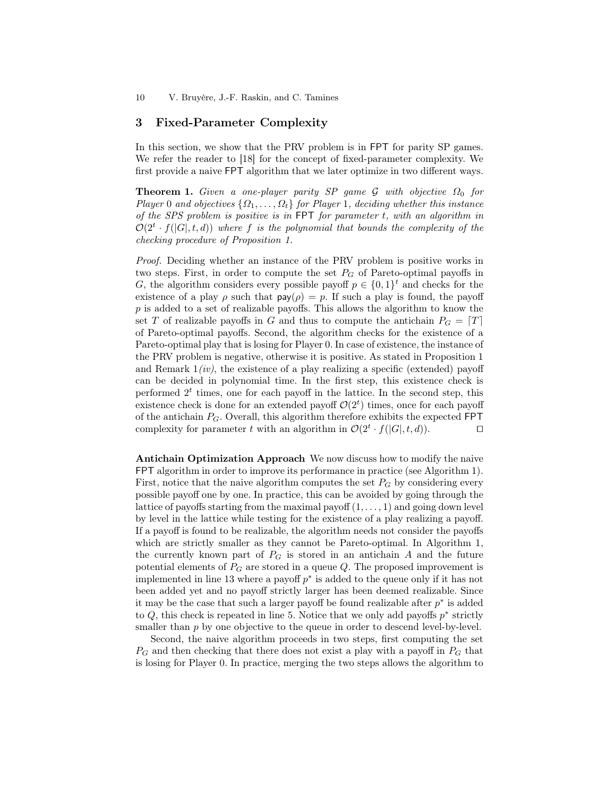10 V. Bruyère, J.-F. Raskin, and C. Tamines

# <span id="page-9-1"></span>3 Fixed-Parameter Complexity

In this section, we show that the PRV problem is in FPT for parity SP games. We refer the reader to [\[18\]](#page-24-3) for the concept of fixed-parameter complexity. We first provide a naive FPT algorithm that we later optimize in two different ways.

<span id="page-9-0"></span>**Theorem 1.** Given a one-player parity SP game G with objective  $\Omega_0$  for Player 0 and objectives  $\{\Omega_1, \ldots, \Omega_t\}$  for Player 1, deciding whether this instance of the SPS problem is positive is in FPT for parameter t, with an algorithm in  $\mathcal{O}(2^t \cdot f(|G|, t, d))$  where f is the polynomial that bounds the complexity of the checking procedure of Proposition [1.](#page-7-0)

Proof. Deciding whether an instance of the PRV problem is positive works in two steps. First, in order to compute the set  $P_G$  of Pareto-optimal payoffs in G, the algorithm considers every possible payoff  $p \in \{0,1\}^t$  and checks for the existence of a play  $\rho$  such that  $\text{pay}(\rho) = p$ . If such a play is found, the payoff  $p$  is added to a set of realizable payoffs. This allows the algorithm to know the set T of realizable payoffs in G and thus to compute the antichain  $P_G = [T]$ of Pareto-optimal payoffs. Second, the algorithm checks for the existence of a Pareto-optimal play that is losing for Player 0. In case of existence, the instance of the PRV problem is negative, otherwise it is positive. As stated in Proposition [1](#page-7-0) and Remark  $1(iv)$ , the existence of a play realizing a specific (extended) payoff can be decided in polynomial time. In the first step, this existence check is performed  $2<sup>t</sup>$  times, one for each payoff in the lattice. In the second step, this existence check is done for an extended payoff  $\mathcal{O}(2<sup>t</sup>)$  times, once for each payoff of the antichain  $P_G$ . Overall, this algorithm therefore exhibits the expected FPT complexity for parameter t with an algorithm in  $\mathcal{O}(2^t \cdot f(|G|, t, d)).$ 

Antichain Optimization Approach We now discuss how to modify the naive FPT algorithm in order to improve its performance in practice (see Algorithm [1\)](#page-10-0). First, notice that the naive algorithm computes the set  $P_G$  by considering every possible payoff one by one. In practice, this can be avoided by going through the lattice of payoffs starting from the maximal payoff  $(1, \ldots, 1)$  and going down level by level in the lattice while testing for the existence of a play realizing a payoff. If a payoff is found to be realizable, the algorithm needs not consider the payoffs which are strictly smaller as they cannot be Pareto-optimal. In Algorithm [1,](#page-10-0) the currently known part of  $P_G$  is stored in an antichain A and the future potential elements of  $P_G$  are stored in a queue Q. The proposed improvement is implemented in line 13 where a payoff  $p^*$  is added to the queue only if it has not been added yet and no payoff strictly larger has been deemed realizable. Since it may be the case that such a larger payoff be found realizable after  $p^*$  is added to  $Q$ , this check is repeated in line 5. Notice that we only add payoffs  $p^*$  strictly smaller than  $p$  by one objective to the queue in order to descend level-by-level.

Second, the naive algorithm proceeds in two steps, first computing the set  $P_G$  and then checking that there does not exist a play with a payoff in  $P_G$  that is losing for Player 0. In practice, merging the two steps allows the algorithm to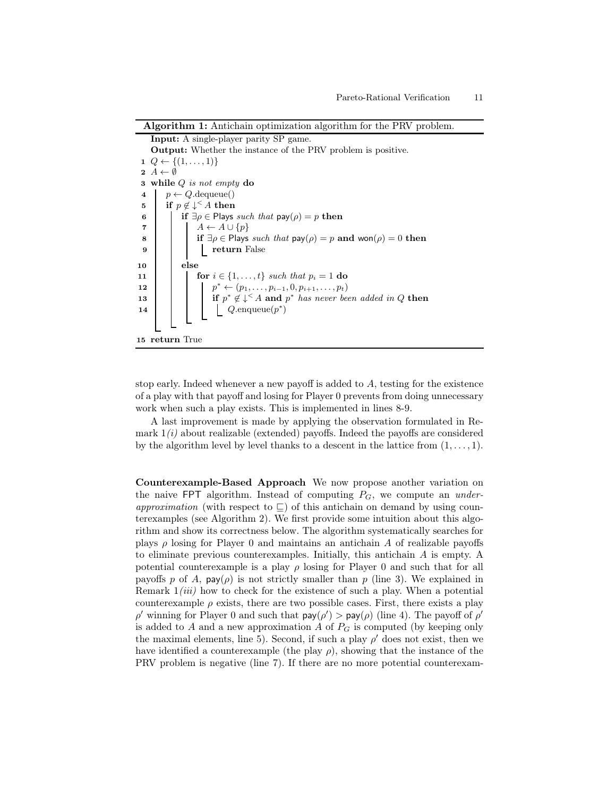Algorithm 1: Antichain optimization algorithm for the PRV problem.

Input: A single-player parity SP game. Output: Whether the instance of the PRV problem is positive. 1  $Q \leftarrow \{(1, \ldots, 1)\}$  $2 A \leftarrow \emptyset$ 3 while  $Q$  is not empty  $\bf{do}$ 4  $p \leftarrow Q$ .dequeue() 5 if  $p \notin \downarrow \leq A$  then 6 if  $\exists \rho \in$  Plays such that  $\text{pay}(\rho) = p$  then 7  $A \leftarrow A \cup \{p\}$ 8 if  $\exists \rho \in \text{Plays} \text{ such that } \text{pay}(\rho) = p \text{ and } \text{won}(\rho) = 0 \text{ then}$ 9 | | | | | return False 10 else 11 **for**  $i \in \{1, ..., t\}$  such that  $p_i = 1$  do 12 p  $p^* \leftarrow (p_1, \ldots, p_{i-1}, 0, p_{i+1}, \ldots, p_t)$ 13 if  $p^* \notin \downarrow^{\leq} A$  and  $p^*$  has never been added in Q then 14  $\vert$   $\vert$   $\vert$   $\vert$   $\vert$   $Q.\text{enqueue}(p^*)$ 15 return True

<span id="page-10-0"></span>stop early. Indeed whenever a new payoff is added to A, testing for the existence of a play with that payoff and losing for Player 0 prevents from doing unnecessary work when such a play exists. This is implemented in lines 8-9.

A last improvement is made by applying the observation formulated in Remark  $1(i)$  about realizable (extended) payoffs. Indeed the payoffs are considered by the algorithm level by level thanks to a descent in the lattice from  $(1, \ldots, 1)$ .

Counterexample-Based Approach We now propose another variation on the naive FPT algorithm. Instead of computing  $P_G$ , we compute an *under*approximation (with respect to  $\subseteq$ ) of this antichain on demand by using counterexamples (see Algorithm [2\)](#page-11-0). We first provide some intuition about this algorithm and show its correctness below. The algorithm systematically searches for plays  $\rho$  losing for Player 0 and maintains an antichain A of realizable payoffs to eliminate previous counterexamples. Initially, this antichain A is empty. A potential counterexample is a play  $\rho$  losing for Player 0 and such that for all payoffs p of A,  $\mathsf{pay}(\rho)$  is not strictly smaller than p (line 3). We explained in Remark  $1(iii)$  how to check for the existence of such a play. When a potential counterexample  $\rho$  exists, there are two possible cases. First, there exists a play  $\rho'$  winning for Player 0 and such that  $\text{pay}(\rho') > \text{pay}(\rho)$  (line 4). The payoff of  $\rho'$ is added to A and a new approximation A of  $P_G$  is computed (by keeping only the maximal elements, line 5). Second, if such a play  $\rho'$  does not exist, then we have identified a counterexample (the play  $\rho$ ), showing that the instance of the PRV problem is negative (line 7). If there are no more potential counterexam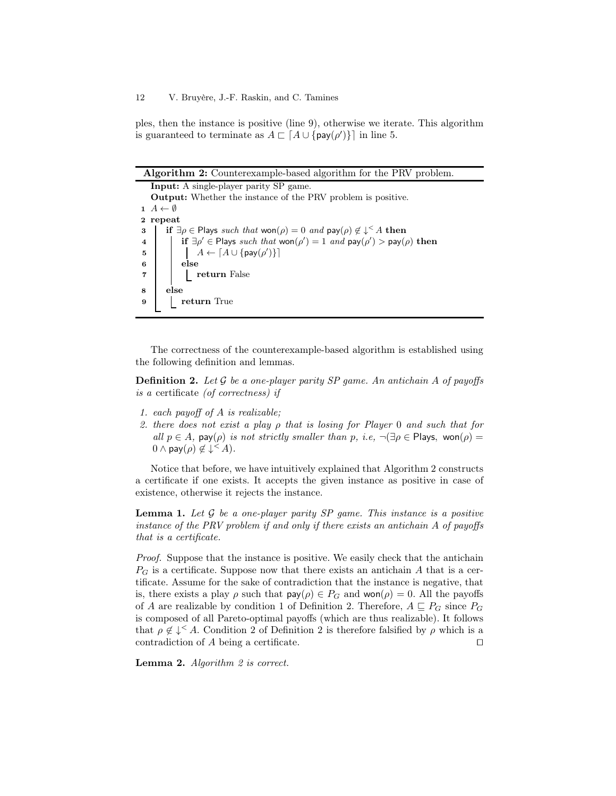ples, then the instance is positive (line 9), otherwise we iterate. This algorithm is guaranteed to terminate as  $A \sqsubset \lceil A \cup \{\text{pay}(\rho')\}\rceil$  in line 5.

Algorithm 2: Counterexample-based algorithm for the PRV problem.

Input: A single-player parity SP game. Output: Whether the instance of the PRV problem is positive.  $1 \ A \leftarrow \emptyset$ 2 repeat 3 if  $\exists \rho \in$  Plays such that won $(\rho) = 0$  and  $\text{pay}(\rho) \notin \downarrow^{\leq} A$  then 4 if  $\exists \rho' \in$  Plays such that  $\text{won}(\rho') = 1$  and  $\text{pay}(\rho') > \text{pay}(\rho)$  then 5  $\begin{bmatrix} \cdot & \cdot & \cdot \\ \cdot & \cdot & \cdot \\ \cdot & \cdot & \cdot \end{bmatrix}$   $A \leftarrow [A \cup \{ \text{pay}(\rho') \}]$ 6 else 7 | | return False 8 else 9 | return True

<span id="page-11-1"></span><span id="page-11-0"></span>The correctness of the counterexample-based algorithm is established using the following definition and lemmas.

**Definition 2.** Let  $\mathcal G$  be a one-player parity SP game. An antichain A of payoffs is a certificate (of correctness) if

- 1. each payoff of A is realizable;
- 2. there does not exist a play ρ that is losing for Player 0 and such that for all  $p \in A$ , pay( $\rho$ ) is not strictly smaller than p, i.e,  $\neg \exists \rho \in \text{Plays}$ , won( $\rho$ ) =  $0 \wedge \mathsf{pay}(\rho) \notin \downarrow^{\leq} A$ ).

Notice that before, we have intuitively explained that Algorithm [2](#page-11-0) constructs a certificate if one exists. It accepts the given instance as positive in case of existence, otherwise it rejects the instance.

<span id="page-11-2"></span>**Lemma 1.** Let  $\mathcal G$  be a one-player parity SP game. This instance is a positive instance of the PRV problem if and only if there exists an antichain A of payoffs that is a certificate.

Proof. Suppose that the instance is positive. We easily check that the antichain  $P_G$  is a certificate. Suppose now that there exists an antichain A that is a certificate. Assume for the sake of contradiction that the instance is negative, that is, there exists a play  $\rho$  such that  $\text{pay}(\rho) \in P_G$  and  $\text{won}(\rho) = 0$ . All the payoffs of A are realizable by condition 1 of Definition [2.](#page-11-1) Therefore,  $A \sqsubseteq P_G$  since  $P_G$ is composed of all Pareto-optimal payoffs (which are thus realizable). It follows that  $\rho \notin \downarrow^{\leq} A$ . Condition [2](#page-11-1) of Definition 2 is therefore falsified by  $\rho$  which is a contradiction of A being a certificate. ⊓⊔

Lemma [2](#page-11-0). Algorithm 2 is correct.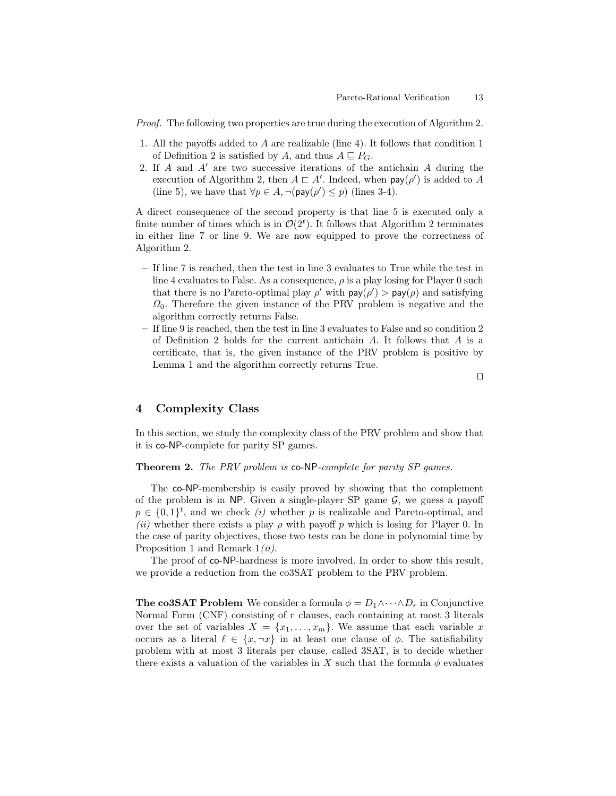Proof. The following two properties are true during the execution of Algorithm [2.](#page-11-0)

- 1. All the payoffs added to A are realizable (line 4). It follows that condition 1 of Definition [2](#page-11-1) is satisfied by A, and thus  $A \subseteq P_G$ .
- 2. If A and A′ are two successive iterations of the antichain A during the execution of Algorithm [2,](#page-11-0) then  $A \sqsubset A'$ . Indeed, when  $\mathsf{pay}(\rho')$  is added to A (line 5), we have that  $\forall p \in A, \neg(\text{pay}(\rho') \leq p)$  (lines 3-4).

A direct consequence of the second property is that line 5 is executed only a finite number of times which is in  $\mathcal{O}(2^t)$ . It follows that Algorithm [2](#page-11-0) terminates in either line 7 or line 9. We are now equipped to prove the correctness of Algorithm [2.](#page-11-0)

- If line 7 is reached, then the test in line 3 evaluates to True while the test in line 4 evaluates to False. As a consequence,  $\rho$  is a play losing for Player 0 such that there is no Pareto-optimal play  $\rho'$  with  $\text{pay}(\rho') > \text{pay}(\rho)$  and satisfying  $\Omega_0$ . Therefore the given instance of the PRV problem is negative and the algorithm correctly returns False.
- If line 9 is reached, then the test in line 3 evaluates to False and so condition 2 of Definition [2](#page-11-1) holds for the current antichain A. It follows that A is a certificate, that is, the given instance of the PRV problem is positive by Lemma [1](#page-11-2) and the algorithm correctly returns True.

⊓⊔

# <span id="page-12-1"></span>4 Complexity Class

<span id="page-12-0"></span>In this section, we study the complexity class of the PRV problem and show that it is co-NP-complete for parity SP games.

Theorem 2. The PRV problem is co-NP-complete for parity SP games.

The co-NP-membership is easily proved by showing that the complement of the problem is in NP. Given a single-player SP game  $G$ , we guess a payoff  $p \in \{0,1\}^t$ , and we check  $(i)$  whether p is realizable and Pareto-optimal, and (ii) whether there exists a play  $\rho$  with payoff p which is losing for Player 0. In the case of parity objectives, those two tests can be done in polynomial time by Proposition [1](#page-8-0) and Remark  $1(ii)$ .

The proof of co-NP-hardness is more involved. In order to show this result, we provide a reduction from the co3SAT problem to the PRV problem.

**The co3SAT Problem** We consider a formula  $\phi = D_1 \wedge \cdots \wedge D_r$  in Conjunctive Normal Form  $(CNF)$  consisting of r clauses, each containing at most 3 literals over the set of variables  $X = \{x_1, \ldots, x_m\}$ . We assume that each variable x occurs as a literal  $\ell \in \{x, \neg x\}$  in at least one clause of  $\phi$ . The satisfiability problem with at most 3 literals per clause, called 3SAT, is to decide whether there exists a valuation of the variables in X such that the formula  $\phi$  evaluates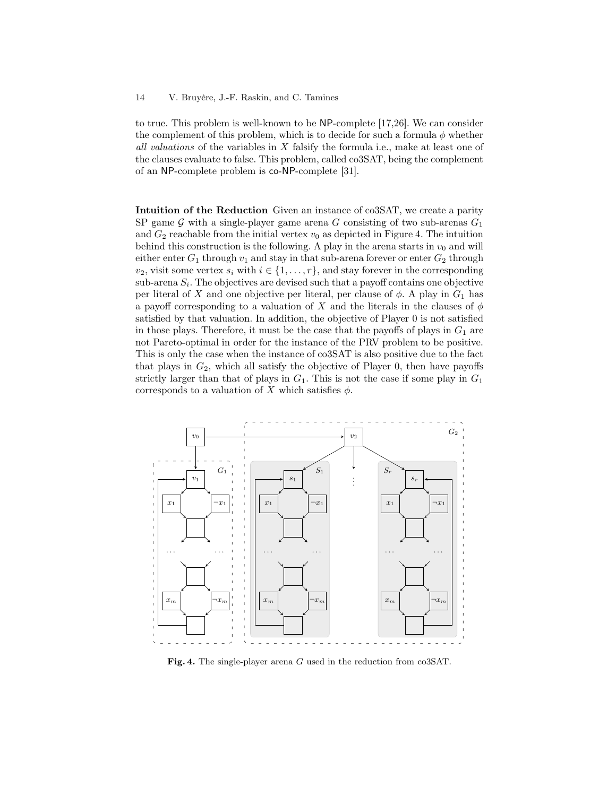to true. This problem is well-known to be NP-complete [\[17,](#page-24-4)[26\]](#page-25-4). We can consider the complement of this problem, which is to decide for such a formula  $\phi$  whether all valuations of the variables in X falsify the formula i.e., make at least one of the clauses evaluate to false. This problem, called co3SAT, being the complement of an NP-complete problem is co-NP-complete [31].

Intuition of the Reduction Given an instance of co3SAT, we create a parity SP game G with a single-player game arena G consisting of two sub-arenas  $G_1$ and  $G_2$  reachable from the initial vertex  $v_0$  as depicted in Figure [4.](#page-13-0) The intuition behind this construction is the following. A play in the arena starts in  $v_0$  and will either enter  $G_1$  through  $v_1$  and stay in that sub-arena forever or enter  $G_2$  through  $v_2$ , visit some vertex  $s_i$  with  $i \in \{1, \ldots, r\}$ , and stay forever in the corresponding  $\text{sub-arena } S_i$ . The objectives are devised such that a payoff contains one objective per literal of X and one objective per literal, per clause of  $\phi$ . A play in  $G_1$  has a payoff corresponding to a valuation of X and the literals in the clauses of  $\phi$ satisfied by that valuation. In addition, the objective of Player 0 is not satisfied in those plays. Therefore, it must be the case that the payoffs of plays in  $G_1$  are not Pareto-optimal in order for the instance of the PRV problem to be positive. This is only the case when the instance of co3SAT is also positive due to the fact that plays in  $G_2$ , which all satisfy the objective of Player 0, then have payoffs strictly larger than that of plays in  $G_1$ . This is not the case if some play in  $G_1$ corresponds to a valuation of  $X$  which satisfies  $\phi$ .



<span id="page-13-0"></span>Fig. 4. The single-player arena G used in the reduction from co3SAT.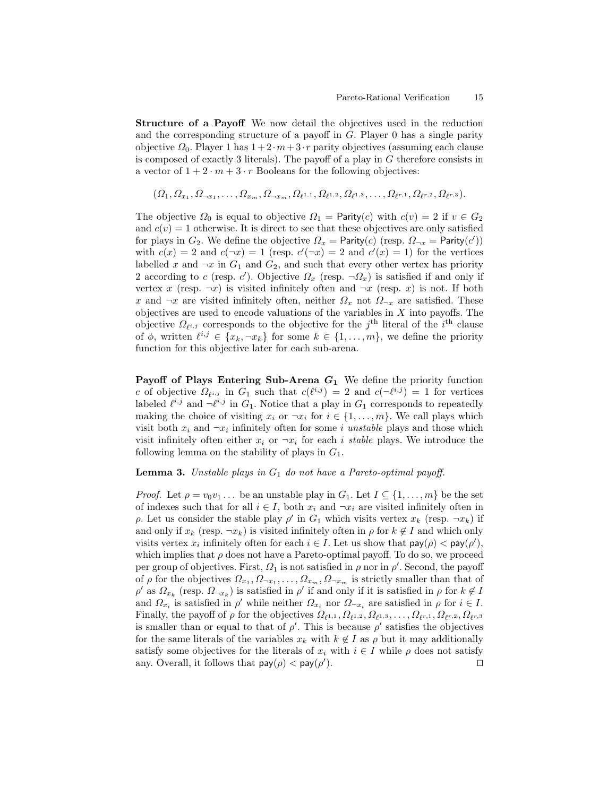Structure of a Payoff We now detail the objectives used in the reduction and the corresponding structure of a payoff in G. Player 0 has a single parity objective  $\Omega_0$ . Player 1 has  $1+2\cdot m+3\cdot r$  parity objectives (assuming each clause is composed of exactly 3 literals). The payoff of a play in G therefore consists in a vector of  $1 + 2 \cdot m + 3 \cdot r$  Booleans for the following objectives:

$$
(\Omega_1, \Omega_{x_1}, \Omega_{\neg x_1}, \dots, \Omega_{x_m}, \Omega_{\neg x_m}, \Omega_{\ell^{1,1}}, \Omega_{\ell^{1,2}}, \Omega_{\ell^{1,3}}, \dots, \Omega_{\ell^{r,1}}, \Omega_{\ell^{r,2}}, \Omega_{\ell^{r,3}}).
$$

The objective  $\Omega_0$  is equal to objective  $\Omega_1 =$  Parity(c) with  $c(v) = 2$  if  $v \in G_2$ and  $c(v) = 1$  otherwise. It is direct to see that these objectives are only satisfied for plays in  $G_2$ . We define the objective  $\Omega_x = \text{Parity}(c)$  (resp.  $\Omega_{\neg x} = \text{Parity}(c')$ ) with  $c(x) = 2$  and  $c(\neg x) = 1$  (resp.  $c'(\neg x) = 2$  and  $c'(x) = 1$ ) for the vertices labelled x and  $\neg x$  in  $G_1$  and  $G_2$ , and such that every other vertex has priority 2 according to c (resp. c'). Objective  $\Omega_x$  (resp.  $\neg \Omega_x$ ) is satisfied if and only if vertex x (resp.  $\neg x$ ) is visited infinitely often and  $\neg x$  (resp. x) is not. If both x and  $\neg x$  are visited infinitely often, neither  $\Omega_x$  not  $\Omega_{\neg x}$  are satisfied. These objectives are used to encode valuations of the variables in  $X$  into payoffs. The objective  $\Omega_{\ell^{i,j}}$  corresponds to the objective for the j<sup>th</sup> literal of the i<sup>th</sup> clause of  $\phi$ , written  $\ell^{i,j} \in \{x_k, \neg x_k\}$  for some  $k \in \{1, \ldots, m\}$ , we define the priority function for this objective later for each sub-arena.

Payoff of Plays Entering Sub-Arena  $G_1$  We define the priority function c of objective  $\Omega_{\ell^{i,j}}$  in  $G_1$  such that  $c(\ell^{i,j}) = 2$  and  $c(\neg \ell^{i,j}) = 1$  for vertices labeled  $\ell^{i,j}$  and  $\neg \ell^{i,j}$  in  $G_1$ . Notice that a play in  $G_1$  corresponds to repeatedly making the choice of visiting  $x_i$  or  $\neg x_i$  for  $i \in \{1, \ldots, m\}$ . We call plays which visit both  $x_i$  and  $\neg x_i$  infinitely often for some i unstable plays and those which visit infinitely often either  $x_i$  or  $\neg x_i$  for each i stable plays. We introduce the following lemma on the stability of plays in  $G_1$ .

### **Lemma 3.** Unstable plays in  $G_1$  do not have a Pareto-optimal payoff.

*Proof.* Let  $\rho = v_0v_1 \ldots$  be an unstable play in  $G_1$ . Let  $I \subseteq \{1, \ldots, m\}$  be the set of indexes such that for all  $i \in I$ , both  $x_i$  and  $\neg x_i$  are visited infinitely often in ρ. Let us consider the stable play  $ρ'$  in  $G_1$  which visits vertex  $x_k$  (resp.  $\neg x_k$ ) if and only if  $x_k$  (resp.  $\neg x_k$ ) is visited infinitely often in  $\rho$  for  $k \notin I$  and which only visits vertex  $x_i$  infinitely often for each  $i \in I$ . Let us show that  $\text{pay}(\rho) < \text{pay}(\rho')$ , which implies that  $\rho$  does not have a Pareto-optimal payoff. To do so, we proceed per group of objectives. First,  $\Omega_1$  is not satisfied in  $\rho$  nor in  $\rho'$ . Second, the payoff of  $\rho$  for the objectives  $\Omega_{x_1}, \Omega_{\neg x_1}, \dots, \Omega_{x_m}, \Omega_{\neg x_m}$  is strictly smaller than that of  $\rho'$  as  $\Omega_{x_k}$  (resp.  $\Omega_{\neg x_k}$ ) is satisfied in  $\rho'$  if and only if it is satisfied in  $\rho$  for  $k \notin I$ and  $\Omega_{x_i}$  is satisfied in  $\rho'$  while neither  $\Omega_{x_i}$  nor  $\Omega_{\neg x_i}$  are satisfied in  $\rho$  for  $i \in I$ . Finally, the payoff of  $\rho$  for the objectives  $\Omega_{\ell^{1,1}}, \Omega_{\ell^{1,2}}, \Omega_{\ell^{1,3}}, \ldots, \Omega_{\ell^{r,1}}, \Omega_{\ell^{r,2}}, \Omega_{\ell^{r,3}}$ is smaller than or equal to that of  $\rho'$ . This is because  $\rho'$  satisfies the objectives for the same literals of the variables  $x_k$  with  $k \notin I$  as  $\rho$  but it may additionally satisfy some objectives for the literals of  $x_i$  with  $i \in I$  while  $\rho$  does not satisfy any. Overall, it follows that  $\textsf{pay}(\rho) < \textsf{pay}(\rho')$ ). ⊓⊔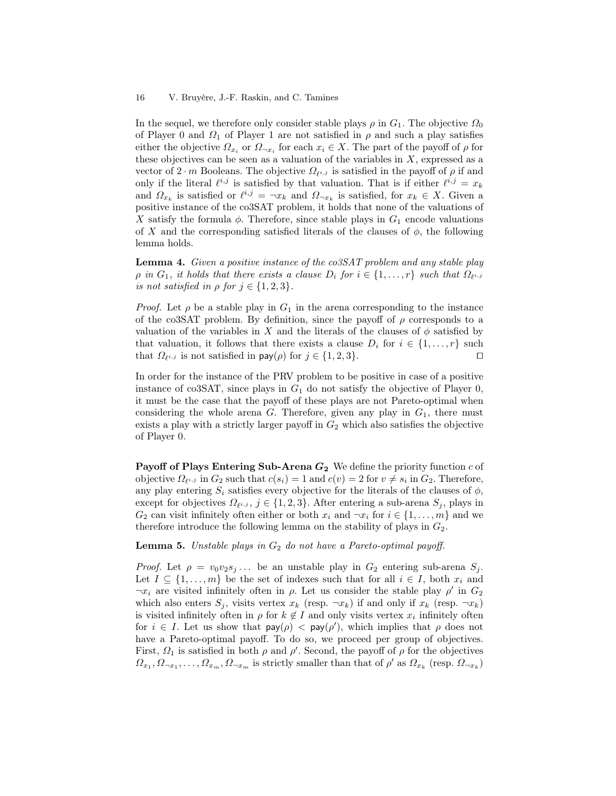In the sequel, we therefore only consider stable plays  $\rho$  in  $G_1$ . The objective  $\Omega_0$ of Player 0 and  $\Omega_1$  of Player 1 are not satisfied in  $\rho$  and such a play satisfies either the objective  $\Omega_{x_i}$  or  $\Omega_{\neg x_i}$  for each  $x_i \in X$ . The part of the payoff of  $\rho$  for these objectives can be seen as a valuation of the variables in  $X$ , expressed as a vector of  $2 \cdot m$  Booleans. The objective  $\Omega_{\ell^{i,j}}$  is satisfied in the payoff of  $\rho$  if and only if the literal  $\ell^{i,j}$  is satisfied by that valuation. That is if either  $\ell^{i,j} = x_k$ and  $\Omega_{x_k}$  is satisfied or  $\ell^{i,j} = \neg x_k$  and  $\Omega_{\neg x_k}$  is satisfied, for  $x_k \in X$ . Given a positive instance of the co3SAT problem, it holds that none of the valuations of X satisfy the formula  $\phi$ . Therefore, since stable plays in  $G_1$  encode valuations of X and the corresponding satisfied literals of the clauses of  $\phi$ , the following lemma holds.

<span id="page-15-0"></span>Lemma 4. Given a positive instance of the co3SAT problem and any stable play  $\rho$  in  $G_1$ , it holds that there exists a clause  $D_i$  for  $i \in \{1, ..., r\}$  such that  $\Omega_{\ell^{i,j}}$ is not satisfied in  $\rho$  for  $j \in \{1, 2, 3\}$ .

*Proof.* Let  $\rho$  be a stable play in  $G_1$  in the arena corresponding to the instance of the co3SAT problem. By definition, since the payoff of  $\rho$  corresponds to a valuation of the variables in X and the literals of the clauses of  $\phi$  satisfied by that valuation, it follows that there exists a clause  $D_i$  for  $i \in \{1, \ldots, r\}$  such that  $\Omega_{\ell^{i,j}}$  is not satisfied in  $\mathsf{pay}(\rho)$  for  $j \in \{1,2,3\}$ . □

In order for the instance of the PRV problem to be positive in case of a positive instance of co3SAT, since plays in  $G_1$  do not satisfy the objective of Player 0, it must be the case that the payoff of these plays are not Pareto-optimal when considering the whole arena  $G$ . Therefore, given any play in  $G_1$ , there must exists a play with a strictly larger payoff in  $G_2$  which also satisfies the objective of Player 0.

**Payoff of Plays Entering Sub-Arena**  $G_2$  We define the priority function c of objective  $\Omega_{\ell^{i,j}}$  in  $G_2$  such that  $c(s_i) = 1$  and  $c(v) = 2$  for  $v \neq s_i$  in  $G_2$ . Therefore, any play entering  $S_i$  satisfies every objective for the literals of the clauses of  $\phi$ , except for objectives  $\Omega_{\ell^{i,j}}, j \in \{1,2,3\}$ . After entering a sub-arena  $S_j$ , plays in  $G_2$  can visit infinitely often either or both  $x_i$  and  $\neg x_i$  for  $i \in \{1, \ldots, m\}$  and we therefore introduce the following lemma on the stability of plays in  $G_2$ .

**Lemma 5.** Unstable plays in  $G_2$  do not have a Pareto-optimal payoff.

*Proof.* Let  $\rho = v_0v_2s_j...$  be an unstable play in  $G_2$  entering sub-arena  $S_j$ . Let  $I \subseteq \{1, \ldots, m\}$  be the set of indexes such that for all  $i \in I$ , both  $x_i$  and  $\neg x_i$  are visited infinitely often in  $\rho$ . Let us consider the stable play  $\rho'$  in  $G_2$ which also enters  $S_i$ , visits vertex  $x_k$  (resp.  $\neg x_k$ ) if and only if  $x_k$  (resp.  $\neg x_k$ ) is visited infinitely often in  $\rho$  for  $k \notin I$  and only visits vertex  $x_i$  infinitely often for  $i \in I$ . Let us show that  $\text{pay}(\rho) < \text{pay}(\rho')$ , which implies that  $\rho$  does not have a Pareto-optimal payoff. To do so, we proceed per group of objectives. First,  $\Omega_1$  is satisfied in both  $\rho$  and  $\rho'$ . Second, the payoff of  $\rho$  for the objectives  $\Omega_{x_1}, \Omega_{\neg x_1}, \ldots, \Omega_{x_m}, \Omega_{\neg x_m}$  is strictly smaller than that of  $\rho'$  as  $\Omega_{x_k}$  (resp.  $\Omega_{\neg x_k}$ )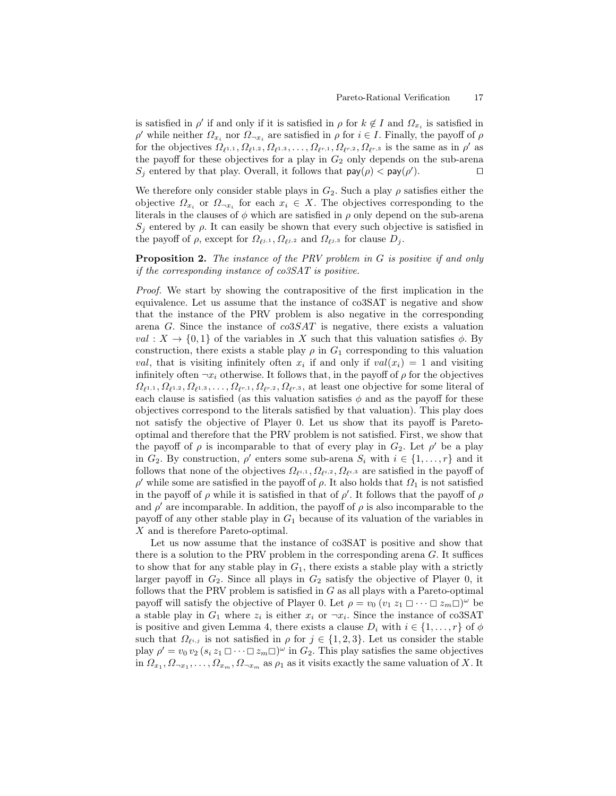is satisfied in  $\rho'$  if and only if it is satisfied in  $\rho$  for  $k \notin I$  and  $\Omega_{x_i}$  is satisfied in  $ρ'$  while neither  $Ω_{x_i}$  nor  $Ω_{¬x_i}$  are satisfied in  $ρ$  for  $i ∈ I$ . Finally, the payoff of  $ρ$ for the objectives  $\Omega_{\ell^{1,1}}, \Omega_{\ell^{1,2}}, \Omega_{\ell^{1,3}}, \ldots, \Omega_{\ell^{r,1}}, \Omega_{\ell^{r,2}}, \Omega_{\ell^{r,3}}$  is the same as in  $\rho'$  as the payoff for these objectives for a play in  $G_2$  only depends on the sub-arena  $S_j$  entered by that play. Overall, it follows that  $\text{pay}(\rho) < \text{pay}(\rho')$ ). ⊓⊔

We therefore only consider stable plays in  $G_2$ . Such a play  $\rho$  satisfies either the objective  $\Omega_{x_i}$  or  $\Omega_{\neg x_i}$  for each  $x_i \in X$ . The objectives corresponding to the literals in the clauses of  $\phi$  which are satisfied in  $\rho$  only depend on the sub-arena  $S_i$  entered by  $\rho$ . It can easily be shown that every such objective is satisfied in the payoff of  $\rho$ , except for  $\Omega_{\ell j,1}$ ,  $\Omega_{\ell j,2}$  and  $\Omega_{\ell j,3}$  for clause  $D_j$ .

**Proposition 2.** The instance of the PRV problem in G is positive if and only if the corresponding instance of co3SAT is positive.

Proof. We start by showing the contrapositive of the first implication in the equivalence. Let us assume that the instance of co3SAT is negative and show that the instance of the PRV problem is also negative in the corresponding arena G. Since the instance of  $\cos SAT$  is negative, there exists a valuation val :  $X \to \{0,1\}$  of the variables in X such that this valuation satisfies  $\phi$ . By construction, there exists a stable play  $\rho$  in  $G_1$  corresponding to this valuation val, that is visiting infinitely often  $x_i$  if and only if  $val(x_i) = 1$  and visiting infinitely often  $\neg x_i$  otherwise. It follows that, in the payoff of  $\rho$  for the objectives  $\Omega_{\ell^{1,1}}, \Omega_{\ell^{1,2}}, \Omega_{\ell^{1,3}}, \ldots, \Omega_{\ell^{r,1}}, \Omega_{\ell^{r,2}}, \Omega_{\ell^{r,3}},$  at least one objective for some literal of each clause is satisfied (as this valuation satisfies  $\phi$  and as the payoff for these objectives correspond to the literals satisfied by that valuation). This play does not satisfy the objective of Player 0. Let us show that its payoff is Paretooptimal and therefore that the PRV problem is not satisfied. First, we show that the payoff of  $\rho$  is incomparable to that of every play in  $G_2$ . Let  $\rho'$  be a play in  $G_2$ . By construction,  $\rho'$  enters some sub-arena  $S_i$  with  $i \in \{1, ..., r\}$  and it follows that none of the objectives  $\Omega_{\ell^{i,1}}, \Omega_{\ell^{i,2}}, \Omega_{\ell^{i,3}}$  are satisfied in the payoff of  $ρ'$  while some are satisfied in the payoff of  $ρ$ . It also holds that  $Ω_1$  is not satisfied in the payoff of  $\rho$  while it is satisfied in that of  $\rho'$ . It follows that the payoff of  $\rho$ and  $\rho'$  are incomparable. In addition, the payoff of  $\rho$  is also incomparable to the payoff of any other stable play in  $G_1$  because of its valuation of the variables in X and is therefore Pareto-optimal.

Let us now assume that the instance of co3SAT is positive and show that there is a solution to the PRV problem in the corresponding arena  $G$ . It suffices to show that for any stable play in  $G_1$ , there exists a stable play with a strictly larger payoff in  $G_2$ . Since all plays in  $G_2$  satisfy the objective of Player 0, it follows that the PRV problem is satisfied in  $G$  as all plays with a Pareto-optimal payoff will satisfy the objective of Player 0. Let  $\rho = v_0 \left( v_1 z_1 \Box \cdots \Box z_m \Box \right)^\omega$  be a stable play in  $G_1$  where  $z_i$  is either  $x_i$  or  $\neg x_i$ . Since the instance of co3SAT is positive and given Lemma [4,](#page-15-0) there exists a clause  $D_i$  with  $i \in \{1, ..., r\}$  of  $\phi$ such that  $\Omega_{\ell^{i,j}}$  is not satisfied in  $\rho$  for  $j \in \{1,2,3\}$ . Let us consider the stable play  $\rho' = v_0 v_2 (s_i z_1 \Box \cdots \Box z_m \Box)^{\omega}$  in  $G_2$ . This play satisfies the same objectives in  $\Omega_{x_1}, \Omega_{\neg x_1}, \ldots, \Omega_{x_m}, \Omega_{\neg x_m}$  as  $\rho_1$  as it visits exactly the same valuation of X. It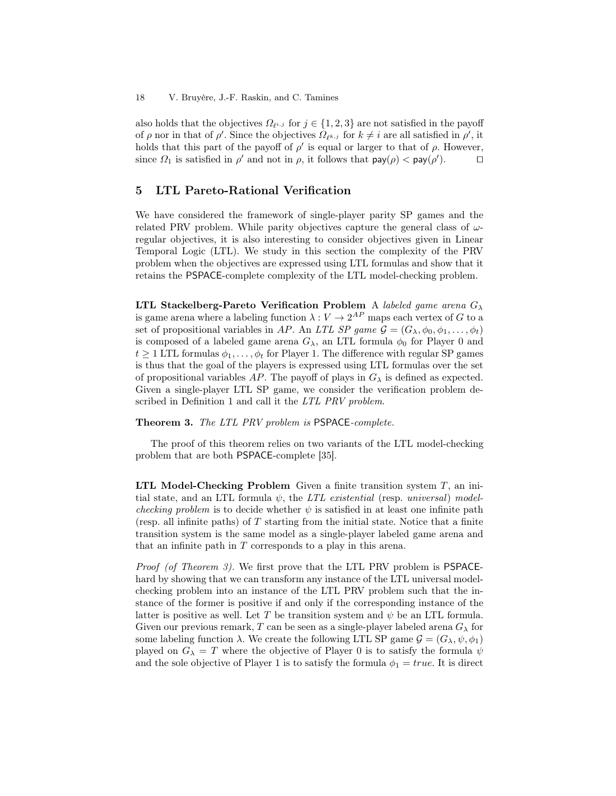also holds that the objectives  $\Omega_{\ell^{i,j}}$  for  $j \in \{1,2,3\}$  are not satisfied in the payoff of  $\rho$  nor in that of  $\rho'$ . Since the objectives  $\Omega_{\ell^{k,j}}$  for  $k \neq i$  are all satisfied in  $\rho'$ , it holds that this part of the payoff of  $\rho'$  is equal or larger to that of  $\rho$ . However, since  $\Omega_1$  is satisfied in  $\rho'$  and not in  $\rho$ , it follows that  $\text{pay}(\rho) < \text{pay}(\rho')$ .  $\Box$ 

# <span id="page-17-1"></span>5 LTL Pareto-Rational Verification

We have considered the framework of single-player parity SP games and the related PRV problem. While parity objectives capture the general class of  $\omega$ regular objectives, it is also interesting to consider objectives given in Linear Temporal Logic (LTL). We study in this section the complexity of the PRV problem when the objectives are expressed using LTL formulas and show that it retains the PSPACE-complete complexity of the LTL model-checking problem.

LTL Stackelberg-Pareto Verification Problem A labeled game arena  $G_{\lambda}$ is game arena where a labeling function  $\lambda: V \to 2^{AP}$  maps each vertex of G to a set of propositional variables in AP. An LTL SP game  $\mathcal{G} = (G_{\lambda}, \phi_0, \phi_1, \dots, \phi_t)$ is composed of a labeled game arena  $G_{\lambda}$ , an LTL formula  $\phi_0$  for Player 0 and  $t \geq 1$  LTL formulas  $\phi_1, \ldots, \phi_t$  for Player 1. The difference with regular SP games is thus that the goal of the players is expressed using LTL formulas over the set of propositional variables AP. The payoff of plays in  $G_{\lambda}$  is defined as expected. Given a single-player LTL SP game, we consider the verification problem de-scribed in Definition [1](#page-6-1) and call it the LTL PRV problem.

<span id="page-17-0"></span>Theorem 3. The LTL PRV problem is PSPACE-complete.

The proof of this theorem relies on two variants of the LTL model-checking problem that are both PSPACE-complete [35].

LTL Model-Checking Problem Given a finite transition system  $T$ , an initial state, and an LTL formula  $\psi$ , the *LTL existential* (resp. *universal*) model*checking problem* is to decide whether  $\psi$  is satisfied in at least one infinite path (resp. all infinite paths) of T starting from the initial state. Notice that a finite transition system is the same model as a single-player labeled game arena and that an infinite path in T corresponds to a play in this arena.

Proof (of Theorem [3\)](#page-17-0). We first prove that the LTL PRV problem is PSPACEhard by showing that we can transform any instance of the LTL universal modelchecking problem into an instance of the LTL PRV problem such that the instance of the former is positive if and only if the corresponding instance of the latter is positive as well. Let T be transition system and  $\psi$  be an LTL formula. Given our previous remark, T can be seen as a single-player labeled arena  $G_{\lambda}$  for some labeling function  $\lambda$ . We create the following LTL SP game  $\mathcal{G} = (G_{\lambda}, \psi, \phi_1)$ played on  $G_{\lambda} = T$  where the objective of Player 0 is to satisfy the formula  $\psi$ and the sole objective of Player 1 is to satisfy the formula  $\phi_1 = true$ . It is direct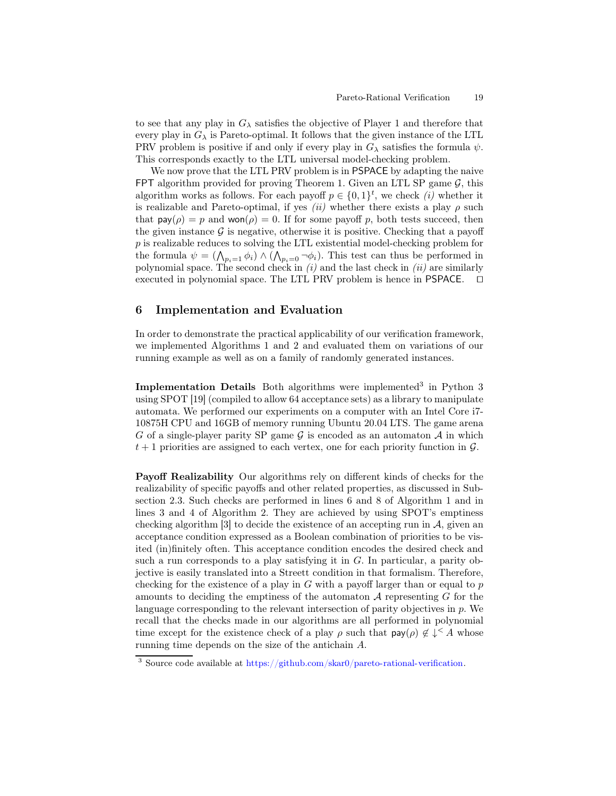to see that any play in  $G_{\lambda}$  satisfies the objective of Player 1 and therefore that every play in  $G_{\lambda}$  is Pareto-optimal. It follows that the given instance of the LTL PRV problem is positive if and only if every play in  $G_\lambda$  satisfies the formula  $\psi$ . This corresponds exactly to the LTL universal model-checking problem.

We now prove that the LTL PRV problem is in PSPACE by adapting the naive FPT algorithm provided for proving Theorem [1.](#page-9-0) Given an LTL SP game  $\mathcal{G}$ , this algorithm works as follows. For each payoff  $p \in \{0,1\}^t$ , we check  $(i)$  whether it is realizable and Pareto-optimal, if yes (ii) whether there exists a play  $\rho$  such that  $\text{pay}(\rho) = p$  and  $\text{won}(\rho) = 0$ . If for some payoff p, both tests succeed, then the given instance  $\mathcal G$  is negative, otherwise it is positive. Checking that a payoff p is realizable reduces to solving the LTL existential model-checking problem for the formula  $\psi = (\bigwedge_{p_i=1} \phi_i) \wedge (\bigwedge_{p_i=0} \neg \phi_i)$ . This test can thus be performed in polynomial space. The second check in  $(i)$  and the last check in  $(ii)$  are similarly executed in polynomial space. The LTL PRV problem is hence in PSPACE. ⊓⊔

# <span id="page-18-0"></span>6 Implementation and Evaluation

In order to demonstrate the practical applicability of our verification framework, we implemented Algorithms [1](#page-10-0) and [2](#page-11-0) and evaluated them on variations of our running example as well as on a family of randomly generated instances.

Implementation Details Both algorithms were implemented<sup>[3](#page-18-1)</sup> in Python  $3$ using SPOT [19] (compiled to allow 64 acceptance sets) as a library to manipulate automata. We performed our experiments on a computer with an Intel Core i7- 10875H CPU and 16GB of memory running Ubuntu 20.04 LTS. The game arena G of a single-player parity SP game  $\mathcal G$  is encoded as an automaton  $\mathcal A$  in which  $t + 1$  priorities are assigned to each vertex, one for each priority function in  $\mathcal{G}$ .

Payoff Realizability Our algorithms rely on different kinds of checks for the realizability of specific payoffs and other related properties, as discussed in Subsection [2.3.](#page-7-1) Such checks are performed in lines 6 and 8 of Algorithm [1](#page-10-0) and in lines 3 and 4 of Algorithm [2.](#page-11-0) They are achieved by using SPOT's emptiness checking algorithm [3] to decide the existence of an accepting run in  $A$ , given an acceptance condition expressed as a Boolean combination of priorities to be visited (in)finitely often. This acceptance condition encodes the desired check and such a run corresponds to a play satisfying it in  $G$ . In particular, a parity objective is easily translated into a Streett condition in that formalism. Therefore, checking for the existence of a play in  $G$  with a payoff larger than or equal to  $p$ amounts to deciding the emptiness of the automaton  $A$  representing  $G$  for the language corresponding to the relevant intersection of parity objectives in p. We recall that the checks made in our algorithms are all performed in polynomial time except for the existence check of a play  $\rho$  such that  $\text{pay}(\rho) \notin \downarrow^{\leq} A$  whose running time depends on the size of the antichain A.

<span id="page-18-1"></span><sup>3</sup> Source code available at [https://github.com/skar0/pareto-rational-verification.](https://github.com/skar0/pareto-rational-verification)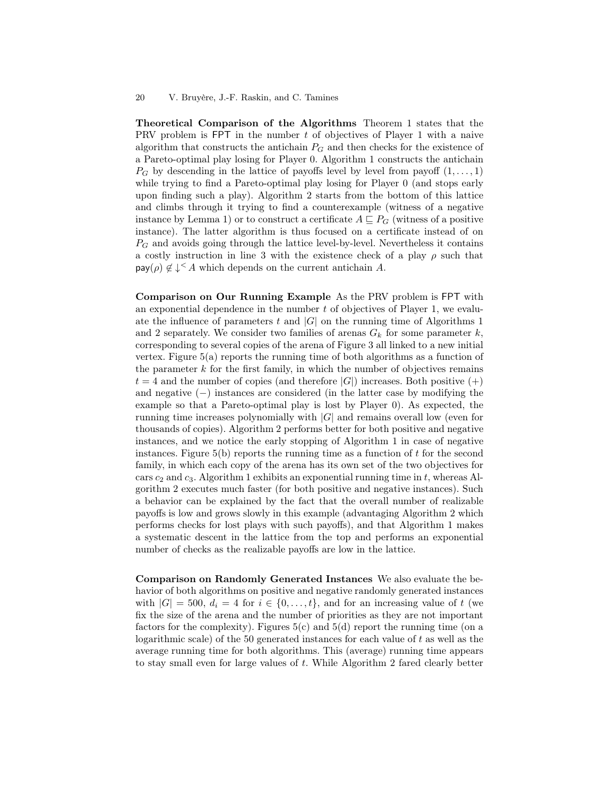Theoretical Comparison of the Algorithms Theorem [1](#page-9-0) states that the PRV problem is FPT in the number t of objectives of Player 1 with a naive algorithm that constructs the antichain  $P_G$  and then checks for the existence of a Pareto-optimal play losing for Player 0. Algorithm [1](#page-10-0) constructs the antichain  $P_G$  by descending in the lattice of payoffs level by level from payoff  $(1,\ldots,1)$ while trying to find a Pareto-optimal play losing for Player 0 (and stops early upon finding such a play). Algorithm [2](#page-11-0) starts from the bottom of this lattice and climbs through it trying to find a counterexample (witness of a negative instance by Lemma [1\)](#page-11-2) or to construct a certificate  $A \sqsubseteq P_G$  (witness of a positive instance). The latter algorithm is thus focused on a certificate instead of on  $P_G$  and avoids going through the lattice level-by-level. Nevertheless it contains a costly instruction in line 3 with the existence check of a play  $\rho$  such that  $\textsf{pay}(\rho) \notin \downarrow^{\leq} A$  which depends on the current antichain A.

Comparison on Our Running Example As the PRV problem is FPT with an exponential dependence in the number  $t$  of objectives of Player 1, we evaluate the influence of parameters t and  $|G|$  on the running time of Algorithms [1](#page-10-0) and [2](#page-11-0) separately. We consider two families of arenas  $G_k$  for some parameter k, corresponding to several copies of the arena of Figure [3](#page-6-0) all linked to a new initial vertex. Figure [5\(a\)](#page-20-0) reports the running time of both algorithms as a function of the parameter  $k$  for the first family, in which the number of objectives remains  $t = 4$  and the number of copies (and therefore  $|G|$ ) increases. Both positive  $(+)$ and negative (−) instances are considered (in the latter case by modifying the example so that a Pareto-optimal play is lost by Player 0). As expected, the running time increases polynomially with |G| and remains overall low (even for thousands of copies). Algorithm [2](#page-11-0) performs better for both positive and negative instances, and we notice the early stopping of Algorithm [1](#page-10-0) in case of negative instances. Figure  $5(b)$  reports the running time as a function of t for the second family, in which each copy of the arena has its own set of the two objectives for cars  $c_2$  and  $c_3$ . Algorithm [1](#page-10-0) exhibits an exponential running time in t, whereas Algorithm [2](#page-11-0) executes much faster (for both positive and negative instances). Such a behavior can be explained by the fact that the overall number of realizable payoffs is low and grows slowly in this example (advantaging Algorithm [2](#page-11-0) which performs checks for lost plays with such payoffs), and that Algorithm [1](#page-10-0) makes a systematic descent in the lattice from the top and performs an exponential number of checks as the realizable payoffs are low in the lattice.

Comparison on Randomly Generated Instances We also evaluate the behavior of both algorithms on positive and negative randomly generated instances with  $|G| = 500$ ,  $d_i = 4$  for  $i \in \{0, \ldots, t\}$ , and for an increasing value of t (we fix the size of the arena and the number of priorities as they are not important factors for the complexity). Figures  $5(c)$  and  $5(d)$  report the running time (on a logarithmic scale) of the 50 generated instances for each value of t as well as the average running time for both algorithms. This (average) running time appears to stay small even for large values of t. While Algorithm [2](#page-11-0) fared clearly better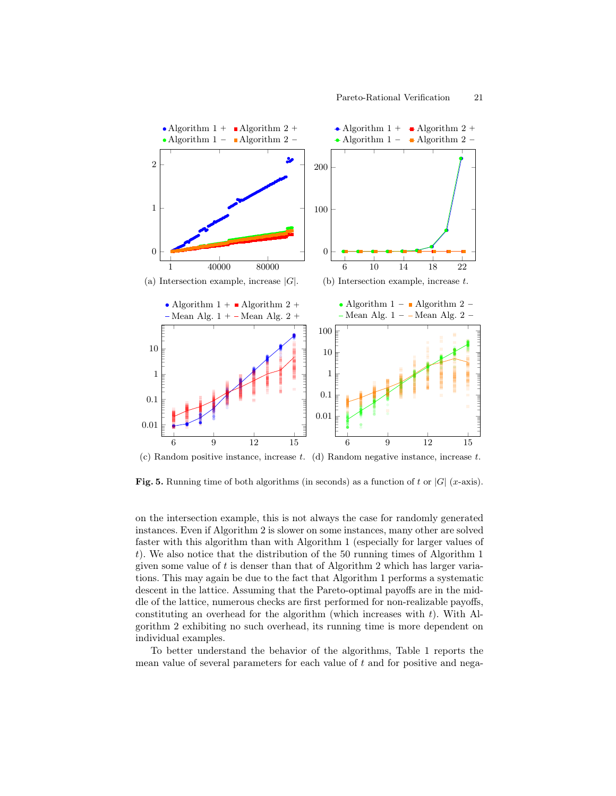<span id="page-20-1"></span><span id="page-20-0"></span>

<span id="page-20-3"></span><span id="page-20-2"></span> $(c)$  Random positive instance, increase t. (d) Random negative instance, increase t.

**Fig. 5.** Running time of both algorithms (in seconds) as a function of t or  $|G|$  (x-axis).

on the intersection example, this is not always the case for randomly generated instances. Even if Algorithm [2](#page-11-0) is slower on some instances, many other are solved faster with this algorithm than with Algorithm [1](#page-10-0) (especially for larger values of t). We also notice that the distribution of the 50 running times of Algorithm [1](#page-10-0) given some value of  $t$  is denser than that of Algorithm [2](#page-11-0) which has larger variations. This may again be due to the fact that Algorithm [1](#page-10-0) performs a systematic descent in the lattice. Assuming that the Pareto-optimal payoffs are in the middle of the lattice, numerous checks are first performed for non-realizable payoffs, constituting an overhead for the algorithm (which increases with  $t$ ). With Algorithm [2](#page-11-0) exhibiting no such overhead, its running time is more dependent on individual examples.

To better understand the behavior of the algorithms, Table [1](#page-21-0) reports the mean value of several parameters for each value of  $t$  and for positive and nega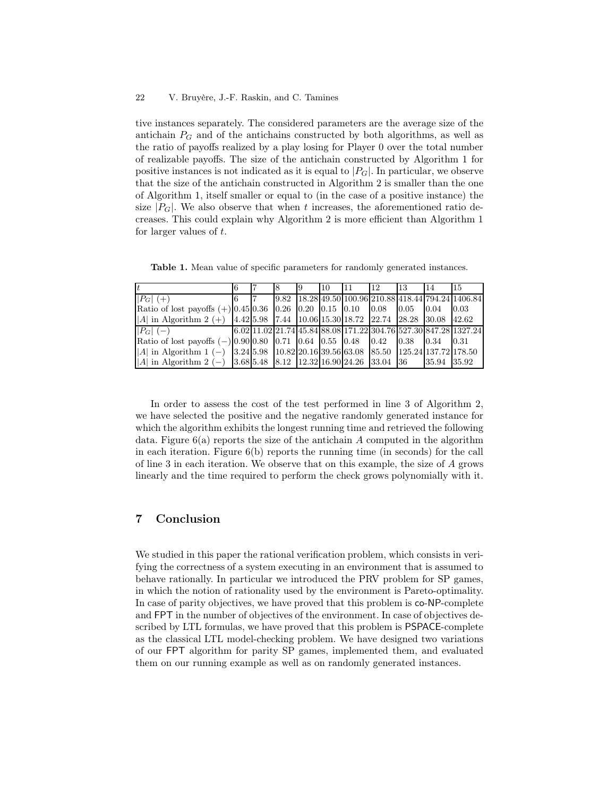tive instances separately. The considered parameters are the average size of the antichain  $P_G$  and of the antichains constructed by both algorithms, as well as the ratio of payoffs realized by a play losing for Player 0 over the total number of realizable payoffs. The size of the antichain constructed by Algorithm [1](#page-10-0) for positive instances is not indicated as it is equal to  $|P_G|$ . In particular, we observe that the size of the antichain constructed in Algorithm [2](#page-11-0) is smaller than the one of Algorithm [1,](#page-10-0) itself smaller or equal to (in the case of a positive instance) the size  $|P_G|$ . We also observe that when t increases, the aforementioned ratio decreases. This could explain why Algorithm [2](#page-11-0) is more efficient than Algorithm [1](#page-10-0) for larger values of t.

<span id="page-21-0"></span>Table 1. Mean value of specific parameters for randomly generated instances.

|                                                                                                  |  | -9 | 110 | 11 <sup>1</sup> | 12 <sup>12</sup> | 13 <sup>7</sup> | <sup>14</sup> | 15                                                                                                                                                       |
|--------------------------------------------------------------------------------------------------|--|----|-----|-----------------|------------------|-----------------|---------------|----------------------------------------------------------------------------------------------------------------------------------------------------------|
| $ P_G  (+)$                                                                                      |  |    |     |                 |                  |                 |               | $\left  \frac{9.82}{18.28} \right $ $\left  \frac{49.50}{100.96} \right $ $\left  \frac{210.88}{418.44} \right $ $\left  \frac{794.24}{1406.84} \right $ |
| Ratio of lost payoffs $(+)$ 0.45   0.36   0.26   0.20   0.15   0.10   0.08   0.05   0.04         |  |    |     |                 |                  |                 |               | 0.03                                                                                                                                                     |
| A  in Algorithm 2 (+)   4.42  5.98   7.44   10.06  15.30  18.72   22.74   28.28   30.08   42.62  |  |    |     |                 |                  |                 |               |                                                                                                                                                          |
| $ P_G (-)$<br>and the state of the state of the                                                  |  |    |     |                 |                  |                 |               | $(6.02 11.02 21.74 45.84 88.08 171.22 304.76 527.30 847.28 1327.24)$                                                                                     |
| Ratio of lost payoffs $(-) 0.90 0.80 0.71 0.64 0.55 0.48 0.42 0.38 0.34 0.31$                    |  |    |     |                 |                  |                 |               |                                                                                                                                                          |
| A  in Algorithm 1 (-)   3.24  5.98   10.82  20.16  39.56  63.08   85.50   125.24  137.72  178.50 |  |    |     |                 |                  |                 |               |                                                                                                                                                          |
| A  in Algorithm 2 (-)    3.68   5.48    8.12    12.32   16.90   24.26    33.04    36             |  |    |     |                 |                  |                 | 35.94 35.92   |                                                                                                                                                          |

In order to assess the cost of the test performed in line 3 of Algorithm [2,](#page-11-0) we have selected the positive and the negative randomly generated instance for which the algorithm exhibits the longest running time and retrieved the following data. Figure  $6(a)$  reports the size of the antichain A computed in the algorithm in each iteration. Figure [6\(b\)](#page-22-1) reports the running time (in seconds) for the call of line 3 in each iteration. We observe that on this example, the size of A grows linearly and the time required to perform the check grows polynomially with it.

# 7 Conclusion

We studied in this paper the rational verification problem, which consists in verifying the correctness of a system executing in an environment that is assumed to behave rationally. In particular we introduced the PRV problem for SP games, in which the notion of rationality used by the environment is Pareto-optimality. In case of parity objectives, we have proved that this problem is co-NP-complete and FPT in the number of objectives of the environment. In case of objectives described by LTL formulas, we have proved that this problem is PSPACE-complete as the classical LTL model-checking problem. We have designed two variations of our FPT algorithm for parity SP games, implemented them, and evaluated them on our running example as well as on randomly generated instances.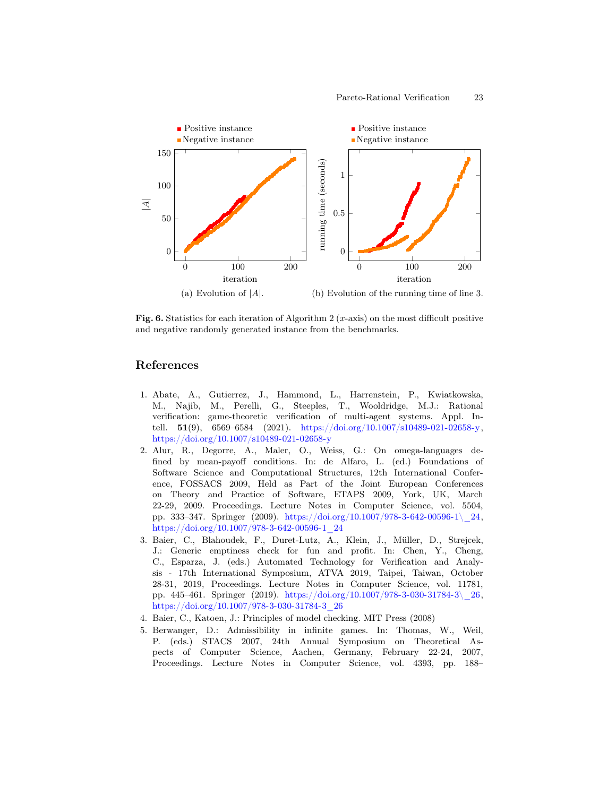<span id="page-22-0"></span>

<span id="page-22-1"></span>Fig. 6. Statistics for each iteration of Algorithm 2 (x-axis) on the most difficult positive and negative randomly generated instance from the benchmarks.

# References

- 1. Abate, A., Gutierrez, J., Hammond, L., Harrenstein, P., Kwiatkowska, M., Najib, M., Perelli, G., Steeples, T., Wooldridge, M.J.: Rational verification: game-theoretic verification of multi-agent systems. Appl. Intell. 51(9), 6569–6584 (2021). [https://doi.org/10.1007/s10489-021-02658-y,](https://doi.org/10.1007/s10489-021-02658-y) <https://doi.org/10.1007/s10489-021-02658-y>
- 2. Alur, R., Degorre, A., Maler, O., Weiss, G.: On omega-languages defined by mean-payoff conditions. In: de Alfaro, L. (ed.) Foundations of Software Science and Computational Structures, 12th International Conference, FOSSACS 2009, Held as Part of the Joint European Conferences on Theory and Practice of Software, ETAPS 2009, York, UK, March 22-29, 2009. Proceedings. Lecture Notes in Computer Science, vol. 5504, pp. 333–347. Springer (2009). https://doi.org/10.1007/978-3-642-00596-1\[24, [https://doi.org/10.1007/978-3-642-00596-1\\_24](https://doi.org/10.1007/978-3-642-00596-1_24)
- 3. Baier, C., Blahoudek, F., Duret-Lutz, A., Klein, J., Müller, D., Strejcek, J.: Generic emptiness check for fun and profit. In: Chen, Y., Cheng, C., Esparza, J. (eds.) Automated Technology for Verification and Analysis - 17th International Symposium, ATVA 2019, Taipei, Taiwan, October 28-31, 2019, Proceedings. Lecture Notes in Computer Science, vol. 11781, pp. 445–461. Springer (2019). [https://doi.org/10.1007/978-3-030-31784-3\\\_26,](https://doi.org/10.1007/978-3-030-31784-3\_26) [https://doi.org/10.1007/978-3-030-31784-3\\_26](https://doi.org/10.1007/978-3-030-31784-3_26)
- 4. Baier, C., Katoen, J.: Principles of model checking. MIT Press (2008)
- 5. Berwanger, D.: Admissibility in infinite games. In: Thomas, W., Weil, P. (eds.) STACS 2007, 24th Annual Symposium on Theoretical Aspects of Computer Science, Aachen, Germany, February 22-24, 2007, Proceedings. Lecture Notes in Computer Science, vol. 4393, pp. 188–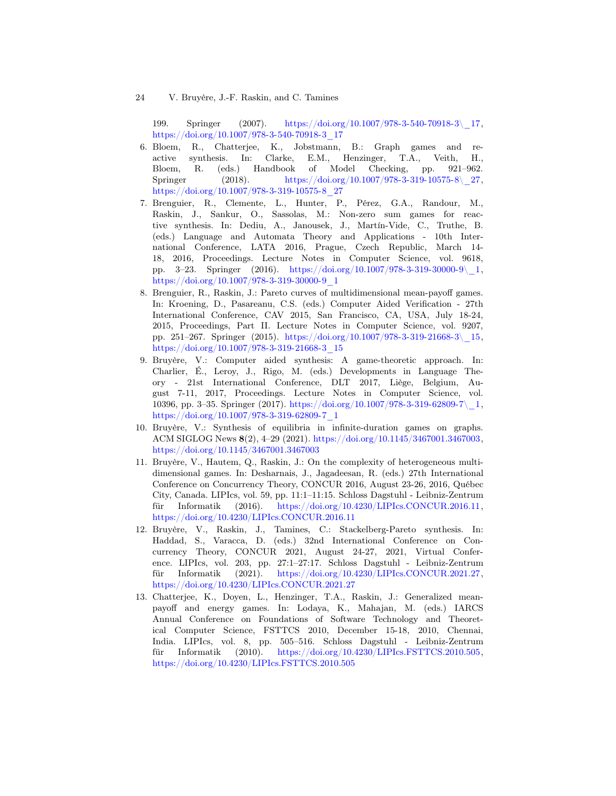24 V. Bruyère, J.-F. Raskin, and C. Tamines

199. Springer (2007). [https://doi.org/10.1007/978-3-540-70918-3\\\_17,](https://doi.org/10.1007/978-3-540-70918-3\_17) [https://doi.org/10.1007/978-3-540-70918-3\\_17](https://doi.org/10.1007/978-3-540-70918-3_17)

- 6. Bloem, R., Chatterjee, K., Jobstmann, B.: Graph games and reactive synthesis. In: Clarke, E.M., Henzinger, T.A., Veith, H., Bloem, R. (eds.) Handbook of Model Checking, pp. 921–962. Springer (2018). https://doi.org/10.1007/978-3-319-10575-8\pm 27, [https://doi.org/10.1007/978-3-319-10575-8\\_27](https://doi.org/10.1007/978-3-319-10575-8_27)
- 7. Brenguier, R., Clemente, L., Hunter, P., Pérez, G.A., Randour, M., Raskin, J., Sankur, O., Sassolas, M.: Non-zero sum games for reactive synthesis. In: Dediu, A., Janousek, J., Martín-Vide, C., Truthe, B. (eds.) Language and Automata Theory and Applications - 10th International Conference, LATA 2016, Prague, Czech Republic, March 14- 18, 2016, Proceedings. Lecture Notes in Computer Science, vol. 9618, pp. 3–23. Springer (2016). [https://doi.org/10.1007/978-3-319-30000-9\\\_1,](https://doi.org/10.1007/978-3-319-30000-9\_1) [https://doi.org/10.1007/978-3-319-30000-9\\_1](https://doi.org/10.1007/978-3-319-30000-9_1)
- 8. Brenguier, R., Raskin, J.: Pareto curves of multidimensional mean-payoff games. In: Kroening, D., Pasareanu, C.S. (eds.) Computer Aided Verification - 27th International Conference, CAV 2015, San Francisco, CA, USA, July 18-24, 2015, Proceedings, Part II. Lecture Notes in Computer Science, vol. 9207, pp. 251–267. Springer (2015). [https://doi.org/10.1007/978-3-319-21668-3\\\_15,](https://doi.org/10.1007/978-3-319-21668-3\_15) [https://doi.org/10.1007/978-3-319-21668-3\\_15](https://doi.org/10.1007/978-3-319-21668-3_15)
- <span id="page-23-0"></span>9. Bruyère, V.: Computer aided synthesis: A game-theoretic approach. In: Charlier, É., Leroy, J., Rigo, M. (eds.) Developments in Language Theory - 21st International Conference, DLT 2017, Liège, Belgium, August 7-11, 2017, Proceedings. Lecture Notes in Computer Science, vol. 10396, pp. 3–35. Springer (2017). [https://doi.org/10.1007/978-3-319-62809-7\\\_1,](https://doi.org/10.1007/978-3-319-62809-7\_1) [https://doi.org/10.1007/978-3-319-62809-7\\_1](https://doi.org/10.1007/978-3-319-62809-7_1)
- 10. Bruyère, V.: Synthesis of equilibria in infinite-duration games on graphs. ACM SIGLOG News 8(2), 4–29 (2021). [https://doi.org/10.1145/3467001.3467003,](https://doi.org/10.1145/3467001.3467003) <https://doi.org/10.1145/3467001.3467003>
- 11. Bruyère, V., Hautem, Q., Raskin, J.: On the complexity of heterogeneous multidimensional games. In: Desharnais, J., Jagadeesan, R. (eds.) 27th International Conference on Concurrency Theory, CONCUR 2016, August 23-26, 2016, Québec City, Canada. LIPIcs, vol. 59, pp. 11:1–11:15. Schloss Dagstuhl - Leibniz-Zentrum für Informatik (2016). [https://doi.org/10.4230/LIPIcs.CONCUR.2016.11,](https://doi.org/10.4230/LIPIcs.CONCUR.2016.11) <https://doi.org/10.4230/LIPIcs.CONCUR.2016.11>
- 12. Bruyère, V., Raskin, J., Tamines, C.: Stackelberg-Pareto synthesis. In: Haddad, S., Varacca, D. (eds.) 32nd International Conference on Concurrency Theory, CONCUR 2021, August 24-27, 2021, Virtual Conference. LIPIcs, vol. 203, pp. 27:1–27:17. Schloss Dagstuhl - Leibniz-Zentrum für Informatik (2021). [https://doi.org/10.4230/LIPIcs.CONCUR.2021.27,](https://doi.org/10.4230/LIPIcs.CONCUR.2021.27) <https://doi.org/10.4230/LIPIcs.CONCUR.2021.27>
- 13. Chatterjee, K., Doyen, L., Henzinger, T.A., Raskin, J.: Generalized meanpayoff and energy games. In: Lodaya, K., Mahajan, M. (eds.) IARCS Annual Conference on Foundations of Software Technology and Theoretical Computer Science, FSTTCS 2010, December 15-18, 2010, Chennai, India. LIPIcs, vol. 8, pp. 505–516. Schloss Dagstuhl - Leibniz-Zentrum für Informatik (2010). [https://doi.org/10.4230/LIPIcs.FSTTCS.2010.505,](https://doi.org/10.4230/LIPIcs.FSTTCS.2010.505) <https://doi.org/10.4230/LIPIcs.FSTTCS.2010.505>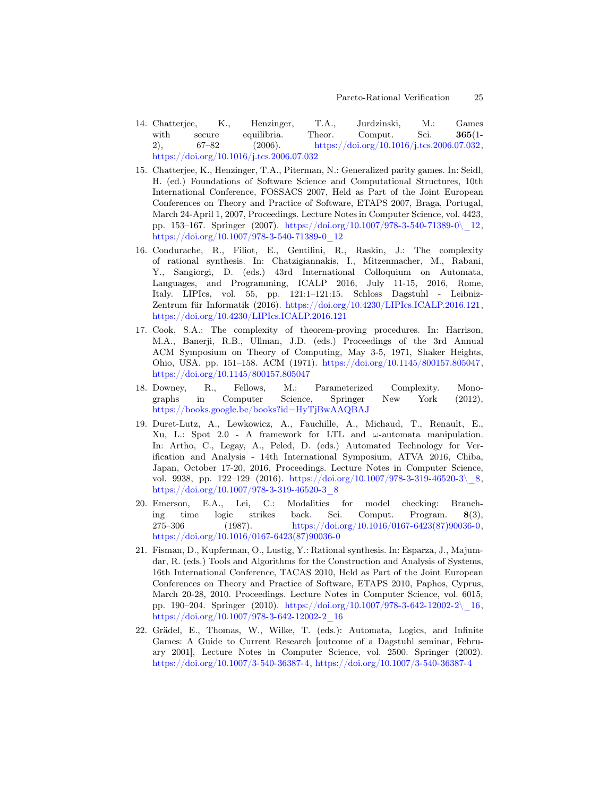- 14. Chatterjee, K., Henzinger, T.A., Jurdzinski, M.: Games with secure equilibria. Theor. Comput. Sci. 365(1-2), 67–82 (2006). [https://doi.org/10.1016/j.tcs.2006.07.032,](https://doi.org/10.1016/j.tcs.2006.07.032) <https://doi.org/10.1016/j.tcs.2006.07.032>
- 15. Chatterjee, K., Henzinger, T.A., Piterman, N.: Generalized parity games. In: Seidl, H. (ed.) Foundations of Software Science and Computational Structures, 10th International Conference, FOSSACS 2007, Held as Part of the Joint European Conferences on Theory and Practice of Software, ETAPS 2007, Braga, Portugal, March 24-April 1, 2007, Proceedings. Lecture Notes in Computer Science, vol. 4423, pp. 153–167. Springer (2007). [https://doi.org/10.1007/978-3-540-71389-0\\\_12,](https://doi.org/10.1007/978-3-540-71389-0\_12) [https://doi.org/10.1007/978-3-540-71389-0\\_12](https://doi.org/10.1007/978-3-540-71389-0_12)
- <span id="page-24-1"></span>16. Condurache, R., Filiot, E., Gentilini, R., Raskin, J.: The complexity of rational synthesis. In: Chatzigiannakis, I., Mitzenmacher, M., Rabani, Y., Sangiorgi, D. (eds.) 43rd International Colloquium on Automata, Languages, and Programming, ICALP 2016, July 11-15, 2016, Rome, Italy. LIPIcs, vol. 55, pp. 121:1–121:15. Schloss Dagstuhl - Leibniz-Zentrum für Informatik (2016). [https://doi.org/10.4230/LIPIcs.ICALP.2016.121,](https://doi.org/10.4230/LIPIcs.ICALP.2016.121) <https://doi.org/10.4230/LIPIcs.ICALP.2016.121>
- <span id="page-24-4"></span>17. Cook, S.A.: The complexity of theorem-proving procedures. In: Harrison, M.A., Banerji, R.B., Ullman, J.D. (eds.) Proceedings of the 3rd Annual ACM Symposium on Theory of Computing, May 3-5, 1971, Shaker Heights, Ohio, USA. pp. 151–158. ACM (1971). [https://doi.org/10.1145/800157.805047,](https://doi.org/10.1145/800157.805047) <https://doi.org/10.1145/800157.805047>
- <span id="page-24-3"></span>18. Downey, R., Fellows, M.: Parameterized Complexity. Monographs in Computer Science, Springer New York (2012), <https://books.google.be/books?id=HyTjBwAAQBAJ>
- 19. Duret-Lutz, A., Lewkowicz, A., Fauchille, A., Michaud, T., Renault, E., Xu, L.: Spot 2.0 - A framework for LTL and  $\omega$ -automata manipulation. In: Artho, C., Legay, A., Peled, D. (eds.) Automated Technology for Verification and Analysis - 14th International Symposium, ATVA 2016, Chiba, Japan, October 17-20, 2016, Proceedings. Lecture Notes in Computer Science, vol. 9938, pp. 122–129 (2016). [https://doi.org/10.1007/978-3-319-46520-3\\\_8,](https://doi.org/10.1007/978-3-319-46520-3\_8) [https://doi.org/10.1007/978-3-319-46520-3\\_8](https://doi.org/10.1007/978-3-319-46520-3_8)
- 20. Emerson, E.A., Lei, C.: Modalities for model checking: Branching time logic strikes back. Sci. Comput. Program. 8(3), 275–306 (1987). [https://doi.org/10.1016/0167-6423\(87\)90036-0,](https://doi.org/10.1016/0167-6423(87)90036-0) [https://doi.org/10.1016/0167-6423\(87\)90036-0](https://doi.org/10.1016/0167-6423(87)90036-0)
- <span id="page-24-0"></span>21. Fisman, D., Kupferman, O., Lustig, Y.: Rational synthesis. In: Esparza, J., Majumdar, R. (eds.) Tools and Algorithms for the Construction and Analysis of Systems, 16th International Conference, TACAS 2010, Held as Part of the Joint European Conferences on Theory and Practice of Software, ETAPS 2010, Paphos, Cyprus, March 20-28, 2010. Proceedings. Lecture Notes in Computer Science, vol. 6015, pp. 190–204. Springer (2010). https://doi.org/10.1007/978-3-642-12002-2\ 16, [https://doi.org/10.1007/978-3-642-12002-2\\_16](https://doi.org/10.1007/978-3-642-12002-2_16)
- <span id="page-24-2"></span>22. Grädel, E., Thomas, W., Wilke, T. (eds.): Automata, Logics, and Infinite Games: A Guide to Current Research [outcome of a Dagstuhl seminar, February 2001], Lecture Notes in Computer Science, vol. 2500. Springer (2002). [https://doi.org/10.1007/3-540-36387-4,](https://doi.org/10.1007/3-540-36387-4) <https://doi.org/10.1007/3-540-36387-4>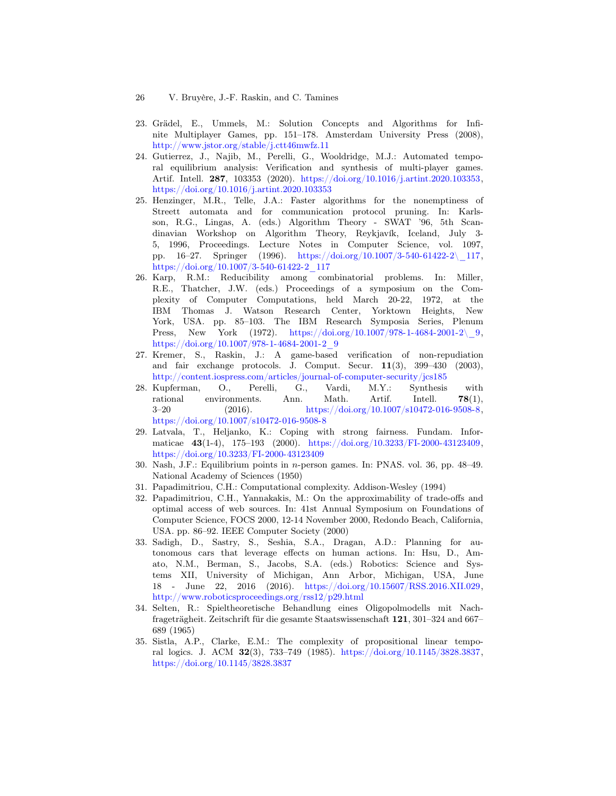- 26 V. Bruyère, J.-F. Raskin, and C. Tamines
- <span id="page-25-1"></span>23. Grädel, E., Ummels, M.: Solution Concepts and Algorithms for Infinite Multiplayer Games, pp. 151–178. Amsterdam University Press (2008), <http://www.jstor.org/stable/j.ctt46mwfz.11>
- 24. Gutierrez, J., Najib, M., Perelli, G., Wooldridge, M.J.: Automated temporal equilibrium analysis: Verification and synthesis of multi-player games. Artif. Intell. 287, 103353 (2020). [https://doi.org/10.1016/j.artint.2020.103353,](https://doi.org/10.1016/j.artint.2020.103353) <https://doi.org/10.1016/j.artint.2020.103353>
- 25. Henzinger, M.R., Telle, J.A.: Faster algorithms for the nonemptiness of Streett automata and for communication protocol pruning. In: Karlsson, R.G., Lingas, A. (eds.) Algorithm Theory - SWAT '96, 5th Scandinavian Workshop on Algorithm Theory, Reykjavík, Iceland, July 3- 5, 1996, Proceedings. Lecture Notes in Computer Science, vol. 1097, pp. 16–27. Springer (1996). [https://doi.org/10.1007/3-540-61422-2\\\_117,](https://doi.org/10.1007/3-540-61422-2\_117) [https://doi.org/10.1007/3-540-61422-2\\_117](https://doi.org/10.1007/3-540-61422-2_117)
- <span id="page-25-4"></span>26. Karp, R.M.: Reducibility among combinatorial problems. In: Miller, R.E., Thatcher, J.W. (eds.) Proceedings of a symposium on the Complexity of Computer Computations, held March 20-22, 1972, at the IBM Thomas J. Watson Research Center, Yorktown Heights, New York, USA. pp. 85–103. The IBM Research Symposia Series, Plenum Press, New York (1972). https://doi.org/10.1007/978-1-4684-2001-2\ 9, [https://doi.org/10.1007/978-1-4684-2001-2\\_9](https://doi.org/10.1007/978-1-4684-2001-2_9)
- 27. Kremer, S., Raskin, J.: A game-based verification of non-repudiation and fair exchange protocols. J. Comput. Secur. 11(3), 399–430 (2003), <http://content.iospress.com/articles/journal-of-computer-security/jcs185>
- <span id="page-25-3"></span>28. Kupferman, O., Perelli, G., Vardi, M.Y.: Synthesis with rational environments. Ann. Math. Artif. Intell. 78(1), 3–20 (2016). [https://doi.org/10.1007/s10472-016-9508-8,](https://doi.org/10.1007/s10472-016-9508-8) <https://doi.org/10.1007/s10472-016-9508-8>
- 29. Latvala, T., Heljanko, K.: Coping with strong fairness. Fundam. Informaticae 43(1-4), 175–193 (2000). [https://doi.org/10.3233/FI-2000-43123409,](https://doi.org/10.3233/FI-2000-43123409) <https://doi.org/10.3233/FI-2000-43123409>
- <span id="page-25-0"></span>30. Nash, J.F.: Equilibrium points in n-person games. In: PNAS. vol. 36, pp. 48–49. National Academy of Sciences (1950)
- 31. Papadimitriou, C.H.: Computational complexity. Addison-Wesley (1994)
- 32. Papadimitriou, C.H., Yannakakis, M.: On the approximability of trade-offs and optimal access of web sources. In: 41st Annual Symposium on Foundations of Computer Science, FOCS 2000, 12-14 November 2000, Redondo Beach, California, USA. pp. 86–92. IEEE Computer Society (2000)
- 33. Sadigh, D., Sastry, S., Seshia, S.A., Dragan, A.D.: Planning for autonomous cars that leverage effects on human actions. In: Hsu, D., Amato, N.M., Berman, S., Jacobs, S.A. (eds.) Robotics: Science and Systems XII, University of Michigan, Ann Arbor, Michigan, USA, June 18 - June 22, 2016 (2016). [https://doi.org/10.15607/RSS.2016.XII.029,](https://doi.org/10.15607/RSS.2016.XII.029) <http://www.roboticsproceedings.org/rss12/p29.html>
- <span id="page-25-2"></span>34. Selten, R.: Spieltheoretische Behandlung eines Oligopolmodells mit Nachfrageträgheit. Zeitschrift für die gesamte Staatswissenschaft 121, 301–324 and 667– 689 (1965)
- 35. Sistla, A.P., Clarke, E.M.: The complexity of propositional linear temporal logics. J. ACM 32(3), 733–749 (1985). [https://doi.org/10.1145/3828.3837,](https://doi.org/10.1145/3828.3837) <https://doi.org/10.1145/3828.3837>